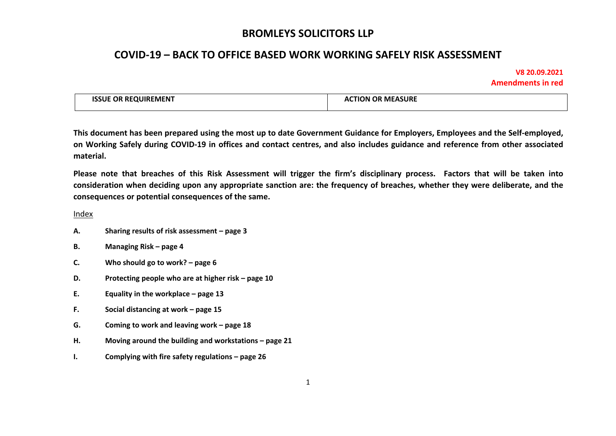## **COVID-19 – BACK TO OFFICE BASED WORK WORKING SAFELY RISK ASSESSMENT**

#### **V8 20.09.2021 Amendments in red**

| <b>ISSUE OR REQUIREMENT</b> | <b>ACTION OR MEASURE</b> |
|-----------------------------|--------------------------|
|                             |                          |

This document has been prepared using the most up to date Government Guidance for Emplovers. Emplovees and the Self-emploved. on Working Safely during COVID-19 in offices and contact centres, and also includes guidance and reference from other associated **material.** 

Please note that breaches of this Risk Assessment will trigger the firm's disciplinary process. Factors that will be taken into consideration when deciding upon any appropriate sanction are: the frequency of breaches, whether they were deliberate, and the **consequences or potential consequences of the same.**

Index

- **A. Sharing results of risk assessment – page 3**
- **B. Managing Risk – page 4**
- **C. Who should go to work? – page 6**
- **D. Protecting people who are at higher risk – page 10**
- **E. Equality in the workplace – page 13**
- **F. Social distancing at work – page 15**
- **G. Coming to work and leaving work – page 18**
- **H. Moving around the building and workstations – page 21**
- **I. Complying with fire safety regulations – page 26**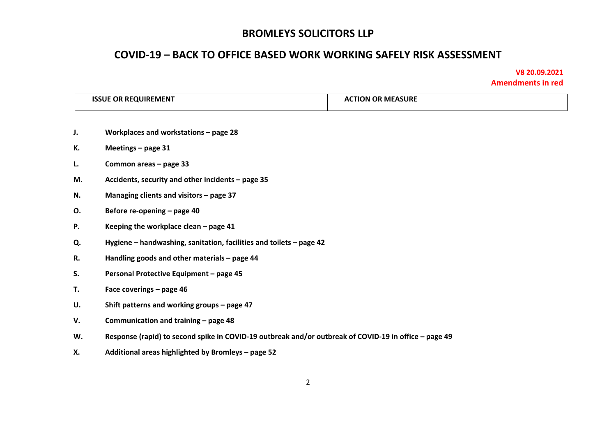## **COVID-19 – BACK TO OFFICE BASED WORK WORKING SAFELY RISK ASSESSMENT**

|    | <b>ISSUE OR REQUIREMENT</b>                                                                           | <b>ACTION OR MEASURE</b> |  |
|----|-------------------------------------------------------------------------------------------------------|--------------------------|--|
| J. | Workplaces and workstations - page 28                                                                 |                          |  |
| К. | Meetings - page 31                                                                                    |                          |  |
| L. | Common areas - page 33                                                                                |                          |  |
| М. | Accidents, security and other incidents - page 35                                                     |                          |  |
| N. | Managing clients and visitors - page 37                                                               |                          |  |
| О. | Before re-opening - page 40                                                                           |                          |  |
| Ρ. | Keeping the workplace clean - page 41                                                                 |                          |  |
| Q. | Hygiene – handwashing, sanitation, facilities and toilets – page 42                                   |                          |  |
| R. | Handling goods and other materials - page 44                                                          |                          |  |
| S. | Personal Protective Equipment - page 45                                                               |                          |  |
| T. | Face coverings - page 46                                                                              |                          |  |
| U. | Shift patterns and working groups - page 47                                                           |                          |  |
| V. | Communication and training - page 48                                                                  |                          |  |
| W. | Response (rapid) to second spike in COVID-19 outbreak and/or outbreak of COVID-19 in office - page 49 |                          |  |
| Х. | Additional areas highlighted by Bromleys - page 52                                                    |                          |  |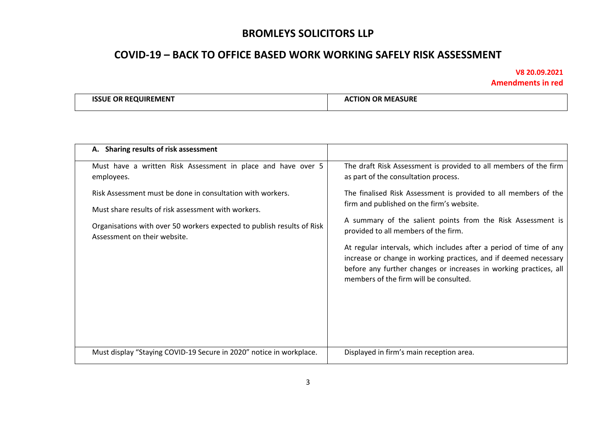# **COVID-19 – BACK TO OFFICE BASED WORK WORKING SAFELY RISK ASSESSMENT**

|  | <b>ISSUE OR REQUIREMENT</b> | <b>ACTION OR MEASURE</b> |
|--|-----------------------------|--------------------------|
|--|-----------------------------|--------------------------|

| A. Sharing results of risk assessment                                                                                                                                                                                       |                                                                                                                                                                                                                                                                                                                                                                                                                                                                              |
|-----------------------------------------------------------------------------------------------------------------------------------------------------------------------------------------------------------------------------|------------------------------------------------------------------------------------------------------------------------------------------------------------------------------------------------------------------------------------------------------------------------------------------------------------------------------------------------------------------------------------------------------------------------------------------------------------------------------|
| Must have a written Risk Assessment in place and have over 5<br>employees.                                                                                                                                                  | The draft Risk Assessment is provided to all members of the firm<br>as part of the consultation process.                                                                                                                                                                                                                                                                                                                                                                     |
| Risk Assessment must be done in consultation with workers.<br>Must share results of risk assessment with workers.<br>Organisations with over 50 workers expected to publish results of Risk<br>Assessment on their website. | The finalised Risk Assessment is provided to all members of the<br>firm and published on the firm's website.<br>A summary of the salient points from the Risk Assessment is<br>provided to all members of the firm.<br>At regular intervals, which includes after a period of time of any<br>increase or change in working practices, and if deemed necessary<br>before any further changes or increases in working practices, all<br>members of the firm will be consulted. |
| Must display "Staying COVID-19 Secure in 2020" notice in workplace.                                                                                                                                                         | Displayed in firm's main reception area.                                                                                                                                                                                                                                                                                                                                                                                                                                     |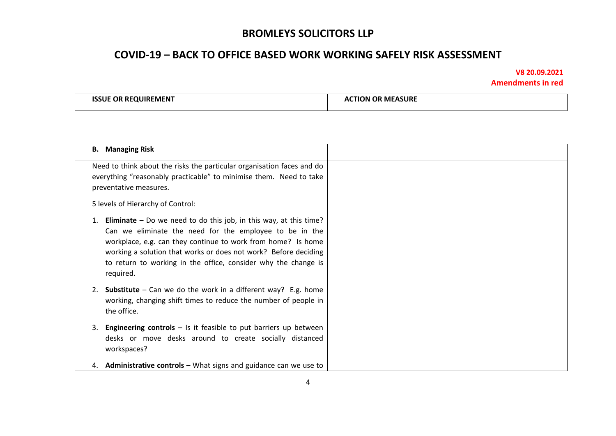## **COVID-19 – BACK TO OFFICE BASED WORK WORKING SAFELY RISK ASSESSMENT**

| <b>ISSUE OR REQUIREMENT</b> | <b>CTION OR MEASURE</b><br>AC. |
|-----------------------------|--------------------------------|
|                             |                                |

| <b>B.</b> Managing Risk                                                                                                                                                                                                                                                                                                                               |  |
|-------------------------------------------------------------------------------------------------------------------------------------------------------------------------------------------------------------------------------------------------------------------------------------------------------------------------------------------------------|--|
| Need to think about the risks the particular organisation faces and do<br>everything "reasonably practicable" to minimise them. Need to take<br>preventative measures.                                                                                                                                                                                |  |
| 5 levels of Hierarchy of Control:                                                                                                                                                                                                                                                                                                                     |  |
| <b>Eliminate</b> – Do we need to do this job, in this way, at this time?<br>Can we eliminate the need for the employee to be in the<br>workplace, e.g. can they continue to work from home? Is home<br>working a solution that works or does not work? Before deciding<br>to return to working in the office, consider why the change is<br>required. |  |
| <b>Substitute</b> – Can we do the work in a different way? E.g. home<br>2.<br>working, changing shift times to reduce the number of people in<br>the office.                                                                                                                                                                                          |  |
| <b>Engineering controls</b> $-$ Is it feasible to put barriers up between<br>3.<br>desks or move desks around to create socially distanced<br>workspaces?                                                                                                                                                                                             |  |
| 4. Administrative controls - What signs and guidance can we use to                                                                                                                                                                                                                                                                                    |  |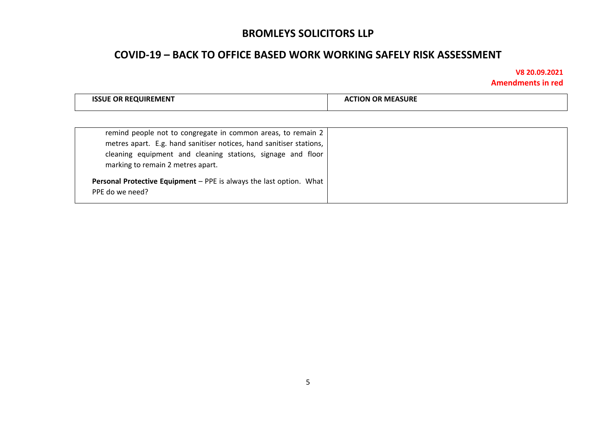## **COVID-19 – BACK TO OFFICE BASED WORK WORKING SAFELY RISK ASSESSMENT**

| <b>ISSUE OR REQUIREMENT</b> | : MEASURE<br>TION OR<br>A |
|-----------------------------|---------------------------|
|                             |                           |

| remind people not to congregate in common areas, to remain 2<br>metres apart. E.g. hand sanitiser notices, hand sanitiser stations,<br>cleaning equipment and cleaning stations, signage and floor<br>marking to remain 2 metres apart. |  |
|-----------------------------------------------------------------------------------------------------------------------------------------------------------------------------------------------------------------------------------------|--|
| Personal Protective Equipment - PPE is always the last option. What<br>PPE do we need?                                                                                                                                                  |  |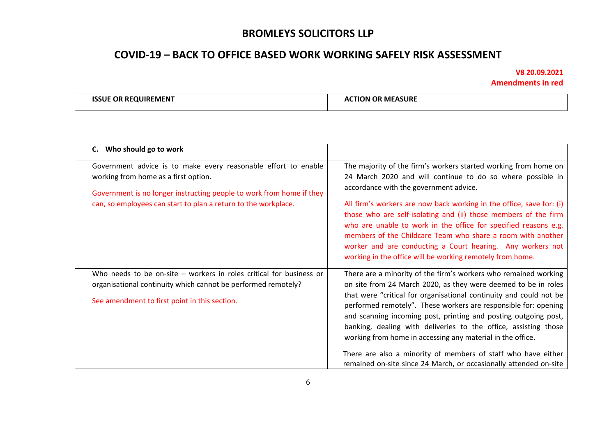# **COVID-19 – BACK TO OFFICE BASED WORK WORKING SAFELY RISK ASSESSMENT**

| 1CC<br><b>MEASURE</b><br>.OP<br><b>QUIREMENT</b><br>RE<br>OR<br>ЭN<br>ш<br>Δ1 |  |
|-------------------------------------------------------------------------------|--|
|-------------------------------------------------------------------------------|--|

| C. Who should go to work                                                                                                                                                                                                                         |                                                                                                                                                                                                                                                                                                                                                                                                                                                                                                                                                                                                                      |
|--------------------------------------------------------------------------------------------------------------------------------------------------------------------------------------------------------------------------------------------------|----------------------------------------------------------------------------------------------------------------------------------------------------------------------------------------------------------------------------------------------------------------------------------------------------------------------------------------------------------------------------------------------------------------------------------------------------------------------------------------------------------------------------------------------------------------------------------------------------------------------|
| Government advice is to make every reasonable effort to enable<br>working from home as a first option.<br>Government is no longer instructing people to work from home if they<br>can, so employees can start to plan a return to the workplace. | The majority of the firm's workers started working from home on<br>24 March 2020 and will continue to do so where possible in<br>accordance with the government advice.<br>All firm's workers are now back working in the office, save for: (i)<br>those who are self-isolating and (ii) those members of the firm<br>who are unable to work in the office for specified reasons e.g.<br>members of the Childcare Team who share a room with another<br>worker and are conducting a Court hearing. Any workers not<br>working in the office will be working remotely from home.                                      |
| Who needs to be on-site $-$ workers in roles critical for business or<br>organisational continuity which cannot be performed remotely?<br>See amendment to first point in this section.                                                          | There are a minority of the firm's workers who remained working<br>on site from 24 March 2020, as they were deemed to be in roles<br>that were "critical for organisational continuity and could not be<br>performed remotely". These workers are responsible for: opening<br>and scanning incoming post, printing and posting outgoing post,<br>banking, dealing with deliveries to the office, assisting those<br>working from home in accessing any material in the office.<br>There are also a minority of members of staff who have either<br>remained on-site since 24 March, or occasionally attended on-site |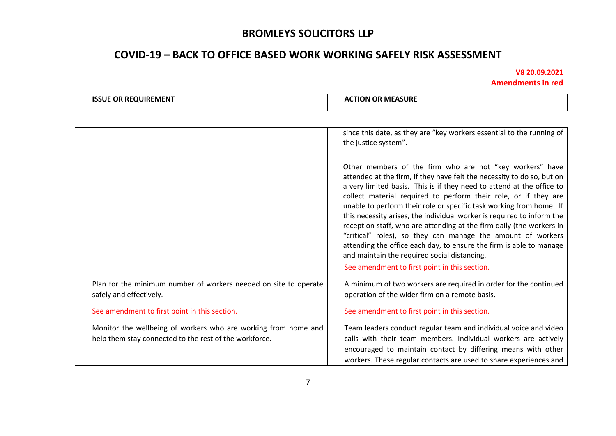# **COVID-19 – BACK TO OFFICE BASED WORK WORKING SAFELY RISK ASSESSMENT**

| <b>ISSUE OR REQUIREMENT</b>                                                                                              | <b>ACTION OR MEASURE</b>                                                                                                                                                                                                                                                                                                                                                                                                                                                                                                                                                                                                                                                                      |
|--------------------------------------------------------------------------------------------------------------------------|-----------------------------------------------------------------------------------------------------------------------------------------------------------------------------------------------------------------------------------------------------------------------------------------------------------------------------------------------------------------------------------------------------------------------------------------------------------------------------------------------------------------------------------------------------------------------------------------------------------------------------------------------------------------------------------------------|
|                                                                                                                          |                                                                                                                                                                                                                                                                                                                                                                                                                                                                                                                                                                                                                                                                                               |
|                                                                                                                          | since this date, as they are "key workers essential to the running of<br>the justice system".                                                                                                                                                                                                                                                                                                                                                                                                                                                                                                                                                                                                 |
|                                                                                                                          | Other members of the firm who are not "key workers" have<br>attended at the firm, if they have felt the necessity to do so, but on<br>a very limited basis. This is if they need to attend at the office to<br>collect material required to perform their role, or if they are<br>unable to perform their role or specific task working from home. If<br>this necessity arises, the individual worker is required to inform the<br>reception staff, who are attending at the firm daily (the workers in<br>"critical" roles), so they can manage the amount of workers<br>attending the office each day, to ensure the firm is able to manage<br>and maintain the required social distancing. |
|                                                                                                                          | See amendment to first point in this section.                                                                                                                                                                                                                                                                                                                                                                                                                                                                                                                                                                                                                                                 |
| Plan for the minimum number of workers needed on site to operate<br>safely and effectively.                              | A minimum of two workers are required in order for the continued<br>operation of the wider firm on a remote basis.                                                                                                                                                                                                                                                                                                                                                                                                                                                                                                                                                                            |
| See amendment to first point in this section.                                                                            | See amendment to first point in this section.                                                                                                                                                                                                                                                                                                                                                                                                                                                                                                                                                                                                                                                 |
| Monitor the wellbeing of workers who are working from home and<br>help them stay connected to the rest of the workforce. | Team leaders conduct regular team and individual voice and video<br>calls with their team members. Individual workers are actively<br>encouraged to maintain contact by differing means with other<br>workers. These regular contacts are used to share experiences and                                                                                                                                                                                                                                                                                                                                                                                                                       |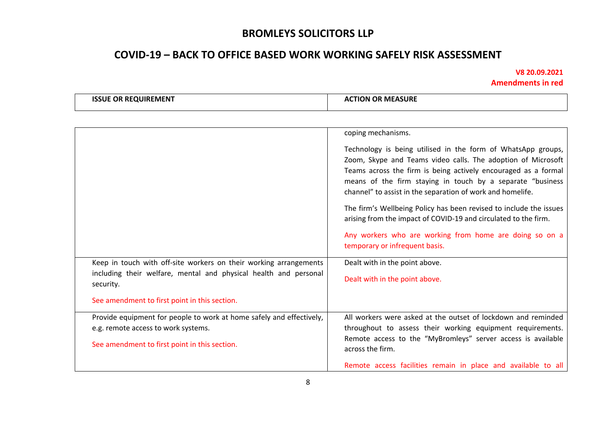# **COVID-19 – BACK TO OFFICE BASED WORK WORKING SAFELY RISK ASSESSMENT**

| <b>OR REQUIREMENT</b><br><b>ISSUE</b><br>Δ1 | <b>CTION OR MEASURE</b> |
|---------------------------------------------|-------------------------|
|---------------------------------------------|-------------------------|

|                                                                                                                                                                                                     | coping mechanisms.<br>Technology is being utilised in the form of WhatsApp groups,<br>Zoom, Skype and Teams video calls. The adoption of Microsoft<br>Teams across the firm is being actively encouraged as a formal<br>means of the firm staying in touch by a separate "business<br>channel" to assist in the separation of work and homelife.<br>The firm's Wellbeing Policy has been revised to include the issues<br>arising from the impact of COVID-19 and circulated to the firm.<br>Any workers who are working from home are doing so on a<br>temporary or infrequent basis. |
|-----------------------------------------------------------------------------------------------------------------------------------------------------------------------------------------------------|----------------------------------------------------------------------------------------------------------------------------------------------------------------------------------------------------------------------------------------------------------------------------------------------------------------------------------------------------------------------------------------------------------------------------------------------------------------------------------------------------------------------------------------------------------------------------------------|
| Keep in touch with off-site workers on their working arrangements<br>including their welfare, mental and physical health and personal<br>security.<br>See amendment to first point in this section. | Dealt with in the point above.<br>Dealt with in the point above.                                                                                                                                                                                                                                                                                                                                                                                                                                                                                                                       |
| Provide equipment for people to work at home safely and effectively,<br>e.g. remote access to work systems.<br>See amendment to first point in this section.                                        | All workers were asked at the outset of lockdown and reminded<br>throughout to assess their working equipment requirements.<br>Remote access to the "MyBromleys" server access is available<br>across the firm.<br>Remote access facilities remain in place and available to all                                                                                                                                                                                                                                                                                                       |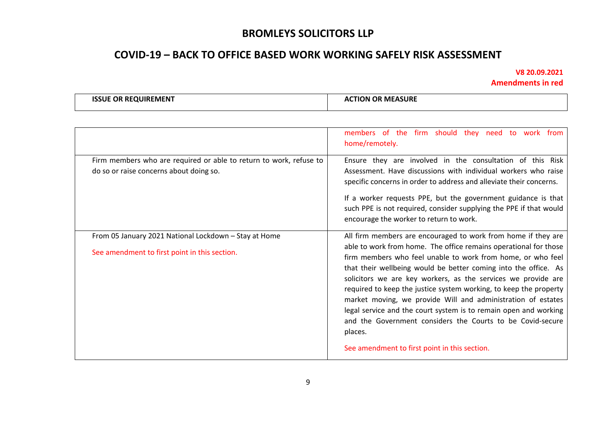# **COVID-19 – BACK TO OFFICE BASED WORK WORKING SAFELY RISK ASSESSMENT**

| <b>OR MEASURE</b><br><b>OR RE</b><br><b>ISSUE</b><br><b>TION</b><br><b>QUIREMEN</b> |
|-------------------------------------------------------------------------------------|
|-------------------------------------------------------------------------------------|

|                                                                                                               | members of the firm should they need to work from<br>home/remotely.                                                                                                                                                                                                                                                                                                                                                                                                                                                                                                                                                                                                     |
|---------------------------------------------------------------------------------------------------------------|-------------------------------------------------------------------------------------------------------------------------------------------------------------------------------------------------------------------------------------------------------------------------------------------------------------------------------------------------------------------------------------------------------------------------------------------------------------------------------------------------------------------------------------------------------------------------------------------------------------------------------------------------------------------------|
| Firm members who are required or able to return to work, refuse to<br>do so or raise concerns about doing so. | Ensure they are involved in the consultation of this Risk<br>Assessment. Have discussions with individual workers who raise<br>specific concerns in order to address and alleviate their concerns.<br>If a worker requests PPE, but the government guidance is that<br>such PPE is not required, consider supplying the PPE if that would<br>encourage the worker to return to work.                                                                                                                                                                                                                                                                                    |
| From 05 January 2021 National Lockdown - Stay at Home<br>See amendment to first point in this section.        | All firm members are encouraged to work from home if they are<br>able to work from home. The office remains operational for those<br>firm members who feel unable to work from home, or who feel<br>that their wellbeing would be better coming into the office. As<br>solicitors we are key workers, as the services we provide are<br>required to keep the justice system working, to keep the property<br>market moving, we provide Will and administration of estates<br>legal service and the court system is to remain open and working<br>and the Government considers the Courts to be Covid-secure<br>places.<br>See amendment to first point in this section. |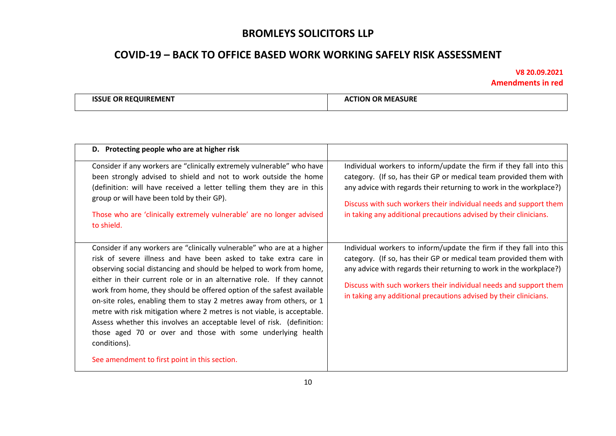# **COVID-19 – BACK TO OFFICE BASED WORK WORKING SAFELY RISK ASSESSMENT**

| <b>JUIREMENT</b><br>. OF<br>15 S I 11<br><b>RE</b> | <b>MEASURE</b><br>01:<br>וחר |
|----------------------------------------------------|------------------------------|
|                                                    |                              |

| D. Protecting people who are at higher risk                                                                                                                                                                                                                                                                                                                                                                                                                                                                                                                                                                                                                                                                                        |                                                                                                                                                                                                                                                                                                                                                          |
|------------------------------------------------------------------------------------------------------------------------------------------------------------------------------------------------------------------------------------------------------------------------------------------------------------------------------------------------------------------------------------------------------------------------------------------------------------------------------------------------------------------------------------------------------------------------------------------------------------------------------------------------------------------------------------------------------------------------------------|----------------------------------------------------------------------------------------------------------------------------------------------------------------------------------------------------------------------------------------------------------------------------------------------------------------------------------------------------------|
| Consider if any workers are "clinically extremely vulnerable" who have<br>been strongly advised to shield and not to work outside the home<br>(definition: will have received a letter telling them they are in this<br>group or will have been told by their GP).<br>Those who are 'clinically extremely vulnerable' are no longer advised<br>to shield.                                                                                                                                                                                                                                                                                                                                                                          | Individual workers to inform/update the firm if they fall into this<br>category. (If so, has their GP or medical team provided them with<br>any advice with regards their returning to work in the workplace?)<br>Discuss with such workers their individual needs and support them<br>in taking any additional precautions advised by their clinicians. |
| Consider if any workers are "clinically vulnerable" who are at a higher<br>risk of severe illness and have been asked to take extra care in<br>observing social distancing and should be helped to work from home,<br>either in their current role or in an alternative role. If they cannot<br>work from home, they should be offered option of the safest available<br>on-site roles, enabling them to stay 2 metres away from others, or 1<br>metre with risk mitigation where 2 metres is not viable, is acceptable.<br>Assess whether this involves an acceptable level of risk. (definition:<br>those aged 70 or over and those with some underlying health<br>conditions).<br>See amendment to first point in this section. | Individual workers to inform/update the firm if they fall into this<br>category. (If so, has their GP or medical team provided them with<br>any advice with regards their returning to work in the workplace?)<br>Discuss with such workers their individual needs and support them<br>in taking any additional precautions advised by their clinicians. |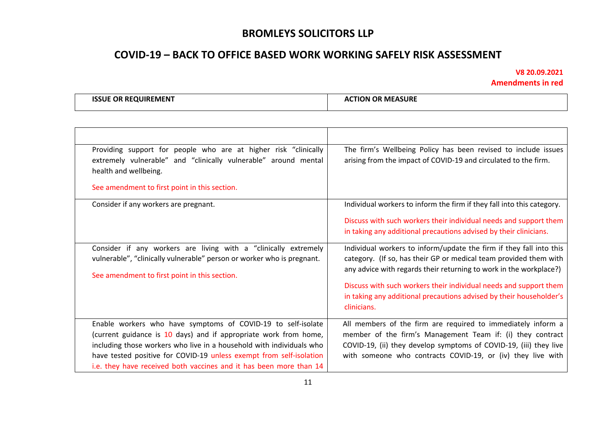# **COVID-19 – BACK TO OFFICE BASED WORK WORKING SAFELY RISK ASSESSMENT**

| : REQUIREMEN1<br><b>ISSUE OR</b> | र MEASURE<br>ION OR<br>. I IC<br>А( |
|----------------------------------|-------------------------------------|
|                                  |                                     |

| Providing support for people who are at higher risk "clinically<br>extremely vulnerable" and "clinically vulnerable" around mental<br>health and wellbeing.                                                                                                                                                                                           | The firm's Wellbeing Policy has been revised to include issues<br>arising from the impact of COVID-19 and circulated to the firm.                                                                                                                                                                                                                                         |
|-------------------------------------------------------------------------------------------------------------------------------------------------------------------------------------------------------------------------------------------------------------------------------------------------------------------------------------------------------|---------------------------------------------------------------------------------------------------------------------------------------------------------------------------------------------------------------------------------------------------------------------------------------------------------------------------------------------------------------------------|
| See amendment to first point in this section.                                                                                                                                                                                                                                                                                                         |                                                                                                                                                                                                                                                                                                                                                                           |
| Consider if any workers are pregnant.                                                                                                                                                                                                                                                                                                                 | Individual workers to inform the firm if they fall into this category.                                                                                                                                                                                                                                                                                                    |
|                                                                                                                                                                                                                                                                                                                                                       | Discuss with such workers their individual needs and support them<br>in taking any additional precautions advised by their clinicians.                                                                                                                                                                                                                                    |
| Consider if any workers are living with a "clinically extremely<br>vulnerable", "clinically vulnerable" person or worker who is pregnant.<br>See amendment to first point in this section.                                                                                                                                                            | Individual workers to inform/update the firm if they fall into this<br>category. (If so, has their GP or medical team provided them with<br>any advice with regards their returning to work in the workplace?)<br>Discuss with such workers their individual needs and support them<br>in taking any additional precautions advised by their householder's<br>clinicians. |
| Enable workers who have symptoms of COVID-19 to self-isolate<br>(current guidance is 10 days) and if appropriate work from home,<br>including those workers who live in a household with individuals who<br>have tested positive for COVID-19 unless exempt from self-isolation<br>i.e. they have received both vaccines and it has been more than 14 | All members of the firm are required to immediately inform a<br>member of the firm's Management Team if: (i) they contract<br>COVID-19, (ii) they develop symptoms of COVID-19, (iii) they live<br>with someone who contracts COVID-19, or (iv) they live with                                                                                                            |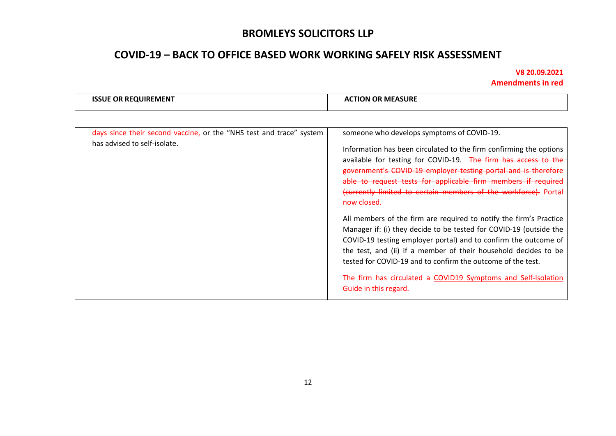# **COVID-19 – BACK TO OFFICE BASED WORK WORKING SAFELY RISK ASSESSMENT**

| 2.7.17<br>ISSLIE<br>OP.<br>UIREMENT<br> | <b>MEASURE</b><br>FION.<br>- OP |
|-----------------------------------------|---------------------------------|
|                                         |                                 |

| days since their second vaccine, or the "NHS test and trace" system<br>has advised to self-isolate. | someone who develops symptoms of COVID-19.<br>Information has been circulated to the firm confirming the options<br>available for testing for COVID-19. The firm has access to the<br>government's COVID-19 employer testing portal and is therefore<br>able to request tests for applicable firm members if required                         |
|-----------------------------------------------------------------------------------------------------|-----------------------------------------------------------------------------------------------------------------------------------------------------------------------------------------------------------------------------------------------------------------------------------------------------------------------------------------------|
|                                                                                                     | (currently limited to certain members of the workforce). Portal<br>now closed.                                                                                                                                                                                                                                                                |
|                                                                                                     | All members of the firm are required to notify the firm's Practice<br>Manager if: (i) they decide to be tested for COVID-19 (outside the<br>COVID-19 testing employer portal) and to confirm the outcome of<br>the test, and (ii) if a member of their household decides to be<br>tested for COVID-19 and to confirm the outcome of the test. |
|                                                                                                     | The firm has circulated a COVID19 Symptoms and Self-Isolation<br>Guide in this regard.                                                                                                                                                                                                                                                        |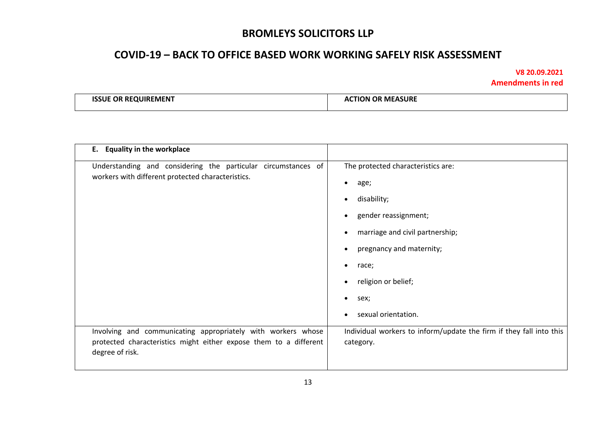## **COVID-19 – BACK TO OFFICE BASED WORK WORKING SAFELY RISK ASSESSMENT**

| -----<br>יאו<br>-RF<br>OUIREMEN<br>ж | <b>SURL</b><br>$M_{\rm F}$<br>TON<br>O F<br>/\ 1 |
|--------------------------------------|--------------------------------------------------|
|                                      |                                                  |

| E. Equality in the workplace                                                                                                                                                       |                                                                                                                                                                                                                                                                                                     |
|------------------------------------------------------------------------------------------------------------------------------------------------------------------------------------|-----------------------------------------------------------------------------------------------------------------------------------------------------------------------------------------------------------------------------------------------------------------------------------------------------|
| Understanding and considering the particular circumstances of<br>workers with different protected characteristics.<br>Involving and communicating appropriately with workers whose | The protected characteristics are:<br>age;<br>$\bullet$<br>disability;<br>gender reassignment;<br>marriage and civil partnership;<br>pregnancy and maternity;<br>race;<br>religion or belief;<br>sex;<br>sexual orientation.<br>Individual workers to inform/update the firm if they fall into this |
| protected characteristics might either expose them to a different<br>degree of risk.                                                                                               | category.                                                                                                                                                                                                                                                                                           |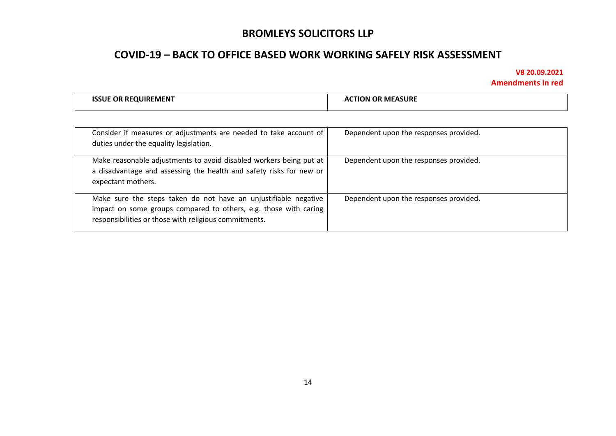## **COVID-19 – BACK TO OFFICE BASED WORK WORKING SAFELY RISK ASSESSMENT**

| <b>ISSUE OR REQUIREMENT</b> | <b>ACTION OR MEASURE</b> |
|-----------------------------|--------------------------|
|                             |                          |

| Consider if measures or adjustments are needed to take account of<br>duties under the equality legislation.                                                                                  | Dependent upon the responses provided. |
|----------------------------------------------------------------------------------------------------------------------------------------------------------------------------------------------|----------------------------------------|
| Make reasonable adjustments to avoid disabled workers being put at<br>a disadvantage and assessing the health and safety risks for new or<br>expectant mothers.                              | Dependent upon the responses provided. |
| Make sure the steps taken do not have an unjustifiable negative<br>impact on some groups compared to others, e.g. those with caring<br>responsibilities or those with religious commitments. | Dependent upon the responses provided. |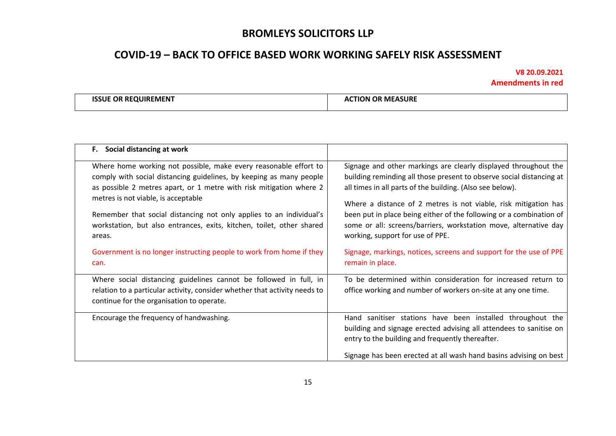# **COVID-19 – BACK TO OFFICE BASED WORK WORKING SAFELY RISK ASSESSMENT**

| <b>ISSUE OR REQUIREMENT</b> | ' MEASURE<br>പി0 <sup>N ല</sup> |
|-----------------------------|---------------------------------|
|                             |                                 |

| F. Social distancing at work                                                                                                                                                                                                                                                                                                                                                                                    |                                                                                                                                                                                                                                                                                                                                                                                                                                                        |
|-----------------------------------------------------------------------------------------------------------------------------------------------------------------------------------------------------------------------------------------------------------------------------------------------------------------------------------------------------------------------------------------------------------------|--------------------------------------------------------------------------------------------------------------------------------------------------------------------------------------------------------------------------------------------------------------------------------------------------------------------------------------------------------------------------------------------------------------------------------------------------------|
| Where home working not possible, make every reasonable effort to<br>comply with social distancing guidelines, by keeping as many people<br>as possible 2 metres apart, or 1 metre with risk mitigation where 2<br>metres is not viable, is acceptable<br>Remember that social distancing not only applies to an individual's<br>workstation, but also entrances, exits, kitchen, toilet, other shared<br>areas. | Signage and other markings are clearly displayed throughout the<br>building reminding all those present to observe social distancing at<br>all times in all parts of the building. (Also see below).<br>Where a distance of 2 metres is not viable, risk mitigation has<br>been put in place being either of the following or a combination of<br>some or all: screens/barriers, workstation move, alternative day<br>working, support for use of PPE. |
| Government is no longer instructing people to work from home if they<br>can.                                                                                                                                                                                                                                                                                                                                    | Signage, markings, notices, screens and support for the use of PPE<br>remain in place.                                                                                                                                                                                                                                                                                                                                                                 |
| Where social distancing guidelines cannot be followed in full, in<br>relation to a particular activity, consider whether that activity needs to<br>continue for the organisation to operate.                                                                                                                                                                                                                    | To be determined within consideration for increased return to<br>office working and number of workers on-site at any one time.                                                                                                                                                                                                                                                                                                                         |
| Encourage the frequency of handwashing.                                                                                                                                                                                                                                                                                                                                                                         | Hand sanitiser stations have been installed throughout the<br>building and signage erected advising all attendees to sanitise on<br>entry to the building and frequently thereafter.<br>Signage has been erected at all wash hand basins advising on best                                                                                                                                                                                              |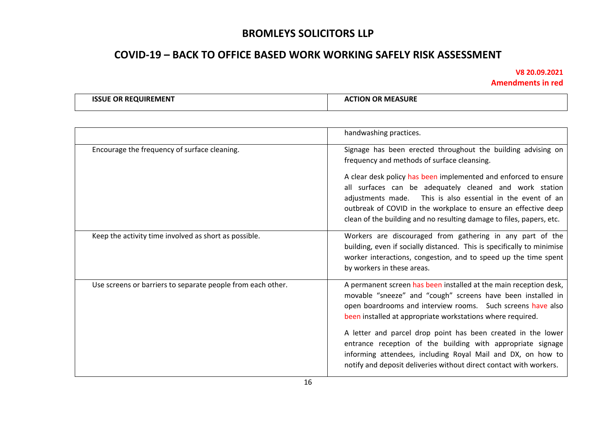# **COVID-19 – BACK TO OFFICE BASED WORK WORKING SAFELY RISK ASSESSMENT**

| EQUIREMENT   | <b>MEASURE</b>   |
|--------------|------------------|
| <b>ISSUE</b> | <b>ACTION OR</b> |
| <b>OK</b>    | ^                |
|              | $ -$             |

|                                                             | handwashing practices.                                                                                                                                                                                                                                                                                                                                                                                                                             |
|-------------------------------------------------------------|----------------------------------------------------------------------------------------------------------------------------------------------------------------------------------------------------------------------------------------------------------------------------------------------------------------------------------------------------------------------------------------------------------------------------------------------------|
| Encourage the frequency of surface cleaning.                | Signage has been erected throughout the building advising on<br>frequency and methods of surface cleansing.<br>A clear desk policy has been implemented and enforced to ensure<br>all surfaces can be adequately cleaned and work station<br>adjustments made. This is also essential in the event of an<br>outbreak of COVID in the workplace to ensure an effective deep<br>clean of the building and no resulting damage to files, papers, etc. |
| Keep the activity time involved as short as possible.       | Workers are discouraged from gathering in any part of the<br>building, even if socially distanced. This is specifically to minimise<br>worker interactions, congestion, and to speed up the time spent<br>by workers in these areas.                                                                                                                                                                                                               |
| Use screens or barriers to separate people from each other. | A permanent screen has been installed at the main reception desk,<br>movable "sneeze" and "cough" screens have been installed in<br>open boardrooms and interview rooms. Such screens have also<br>been installed at appropriate workstations where required.                                                                                                                                                                                      |
|                                                             | A letter and parcel drop point has been created in the lower<br>entrance reception of the building with appropriate signage<br>informing attendees, including Royal Mail and DX, on how to<br>notify and deposit deliveries without direct contact with workers.                                                                                                                                                                                   |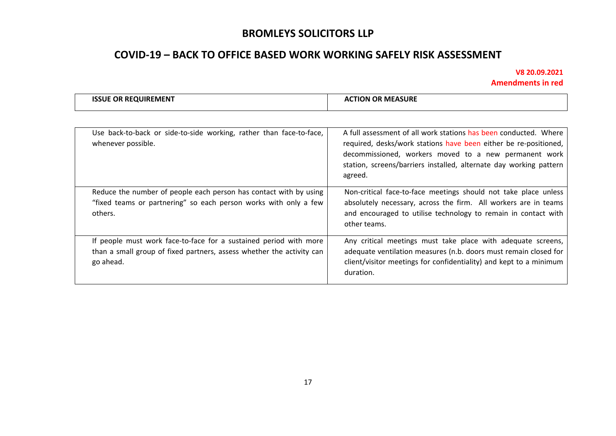# **COVID-19 – BACK TO OFFICE BASED WORK WORKING SAFELY RISK ASSESSMENT**

|  | <b>ISSUE OR REQUIREMENT</b><br><b>ACTION OR MEASURE</b> |
|--|---------------------------------------------------------|
|--|---------------------------------------------------------|

| Use back-to-back or side-to-side working, rather than face-to-face,<br>whenever possible.                                                               | A full assessment of all work stations has been conducted. Where<br>required, desks/work stations have been either be re-positioned,<br>decommissioned, workers moved to a new permanent work<br>station, screens/barriers installed, alternate day working pattern<br>agreed. |
|---------------------------------------------------------------------------------------------------------------------------------------------------------|--------------------------------------------------------------------------------------------------------------------------------------------------------------------------------------------------------------------------------------------------------------------------------|
| Reduce the number of people each person has contact with by using<br>"fixed teams or partnering" so each person works with only a few<br>others.        | Non-critical face-to-face meetings should not take place unless<br>absolutely necessary, across the firm. All workers are in teams<br>and encouraged to utilise technology to remain in contact with<br>other teams.                                                           |
| If people must work face-to-face for a sustained period with more<br>than a small group of fixed partners, assess whether the activity can<br>go ahead. | Any critical meetings must take place with adequate screens,<br>adequate ventilation measures (n.b. doors must remain closed for<br>client/visitor meetings for confidentiality) and kept to a minimum<br>duration.                                                            |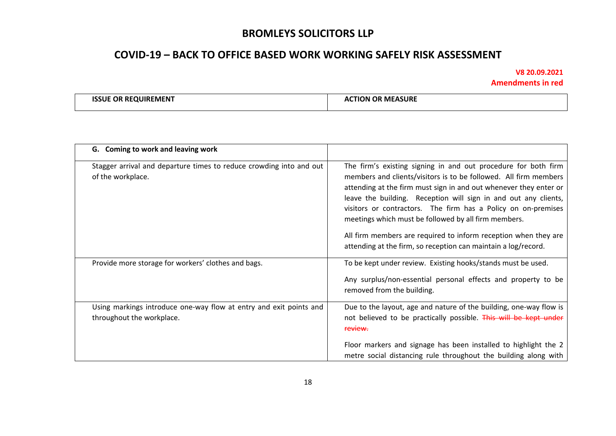## **COVID-19 – BACK TO OFFICE BASED WORK WORKING SAFELY RISK ASSESSMENT**

| -----<br><b>ISSUE</b><br><b>OR RF</b><br><b>OUIREMENT</b> | <b>ACTION OR MEASURE</b> |
|-----------------------------------------------------------|--------------------------|
|                                                           |                          |

| G. Coming to work and leaving work                                                              |                                                                                                                                                                                                                                                                                                                                                                                                                                                                                                                                          |
|-------------------------------------------------------------------------------------------------|------------------------------------------------------------------------------------------------------------------------------------------------------------------------------------------------------------------------------------------------------------------------------------------------------------------------------------------------------------------------------------------------------------------------------------------------------------------------------------------------------------------------------------------|
| Stagger arrival and departure times to reduce crowding into and out<br>of the workplace.        | The firm's existing signing in and out procedure for both firm<br>members and clients/visitors is to be followed. All firm members<br>attending at the firm must sign in and out whenever they enter or<br>leave the building. Reception will sign in and out any clients,<br>visitors or contractors. The firm has a Policy on on-premises<br>meetings which must be followed by all firm members.<br>All firm members are required to inform reception when they are<br>attending at the firm, so reception can maintain a log/record. |
| Provide more storage for workers' clothes and bags.                                             | To be kept under review. Existing hooks/stands must be used.<br>Any surplus/non-essential personal effects and property to be<br>removed from the building.                                                                                                                                                                                                                                                                                                                                                                              |
| Using markings introduce one-way flow at entry and exit points and<br>throughout the workplace. | Due to the layout, age and nature of the building, one-way flow is<br>not believed to be practically possible. This will be kept under<br>review.<br>Floor markers and signage has been installed to highlight the 2<br>metre social distancing rule throughout the building along with                                                                                                                                                                                                                                                  |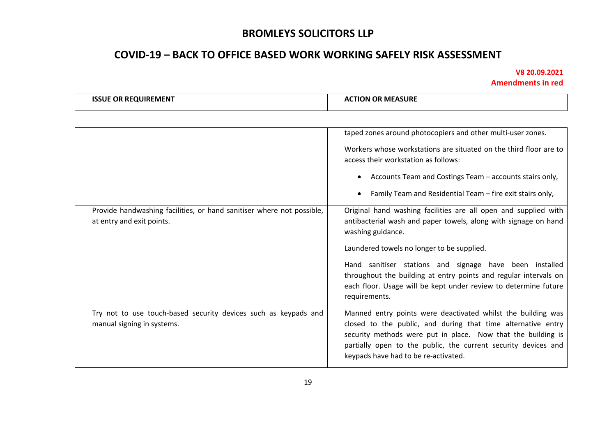# **COVID-19 – BACK TO OFFICE BASED WORK WORKING SAFELY RISK ASSESSMENT**

| <b>ISSUE OR REQUIREMENT</b> | <b>ACTION OR MEASURE</b> |
|-----------------------------|--------------------------|
|                             |                          |
|                             |                          |

|                                                                                                    | taped zones around photocopiers and other multi-user zones.                                                                                                                                                                                                                                            |
|----------------------------------------------------------------------------------------------------|--------------------------------------------------------------------------------------------------------------------------------------------------------------------------------------------------------------------------------------------------------------------------------------------------------|
|                                                                                                    | Workers whose workstations are situated on the third floor are to<br>access their workstation as follows:                                                                                                                                                                                              |
|                                                                                                    | Accounts Team and Costings Team - accounts stairs only,                                                                                                                                                                                                                                                |
|                                                                                                    | Family Team and Residential Team - fire exit stairs only,                                                                                                                                                                                                                                              |
| Provide handwashing facilities, or hand sanitiser where not possible,<br>at entry and exit points. | Original hand washing facilities are all open and supplied with<br>antibacterial wash and paper towels, along with signage on hand<br>washing guidance.                                                                                                                                                |
|                                                                                                    | Laundered towels no longer to be supplied.                                                                                                                                                                                                                                                             |
|                                                                                                    | Hand sanitiser stations and signage have been installed<br>throughout the building at entry points and regular intervals on<br>each floor. Usage will be kept under review to determine future<br>requirements.                                                                                        |
| Try not to use touch-based security devices such as keypads and<br>manual signing in systems.      | Manned entry points were deactivated whilst the building was<br>closed to the public, and during that time alternative entry<br>security methods were put in place. Now that the building is<br>partially open to the public, the current security devices and<br>keypads have had to be re-activated. |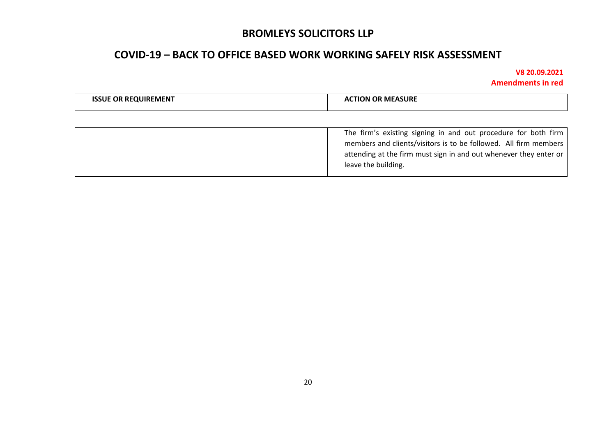## **COVID-19 – BACK TO OFFICE BASED WORK WORKING SAFELY RISK ASSESSMENT**

| <b>OR REQUIREMENT</b> | <b>। MEASURE</b><br>ΓΙΩΝ<br>אנ<br>^' |
|-----------------------|--------------------------------------|
|-----------------------|--------------------------------------|

| The firm's existing signing in and out procedure for both firm<br>members and clients/visitors is to be followed. All firm members<br>attending at the firm must sign in and out whenever they enter or<br>leave the building. |
|--------------------------------------------------------------------------------------------------------------------------------------------------------------------------------------------------------------------------------|
|                                                                                                                                                                                                                                |
|                                                                                                                                                                                                                                |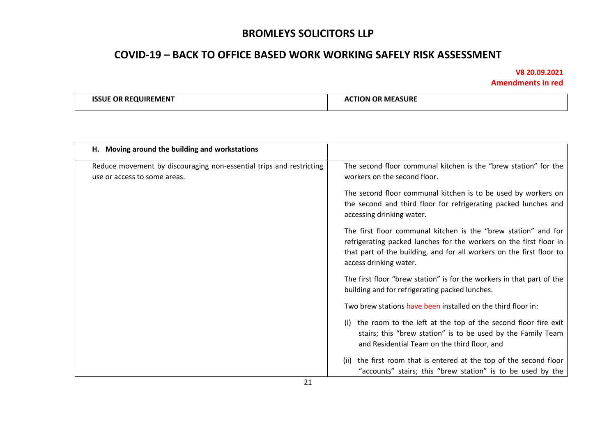# **COVID-19 – BACK TO OFFICE BASED WORK WORKING SAFELY RISK ASSESSMENT**

| <b>ISSUE OR REQUIREMENT</b> | <b>ACTION OR MEASURE</b> |
|-----------------------------|--------------------------|
|-----------------------------|--------------------------|

| H. Moving around the building and workstations                                                      |                                                                                                                                                                                                                                        |
|-----------------------------------------------------------------------------------------------------|----------------------------------------------------------------------------------------------------------------------------------------------------------------------------------------------------------------------------------------|
| Reduce movement by discouraging non-essential trips and restricting<br>use or access to some areas. | The second floor communal kitchen is the "brew station" for the<br>workers on the second floor.                                                                                                                                        |
|                                                                                                     | The second floor communal kitchen is to be used by workers on<br>the second and third floor for refrigerating packed lunches and<br>accessing drinking water.                                                                          |
|                                                                                                     | The first floor communal kitchen is the "brew station" and for<br>refrigerating packed lunches for the workers on the first floor in<br>that part of the building, and for all workers on the first floor to<br>access drinking water. |
|                                                                                                     | The first floor "brew station" is for the workers in that part of the<br>building and for refrigerating packed lunches.                                                                                                                |
|                                                                                                     | Two brew stations have been installed on the third floor in:                                                                                                                                                                           |
|                                                                                                     | the room to the left at the top of the second floor fire exit<br>(i)<br>stairs; this "brew station" is to be used by the Family Team<br>and Residential Team on the third floor, and                                                   |
|                                                                                                     | the first room that is entered at the top of the second floor<br>(ii)<br>"accounts" stairs; this "brew station" is to be used by the                                                                                                   |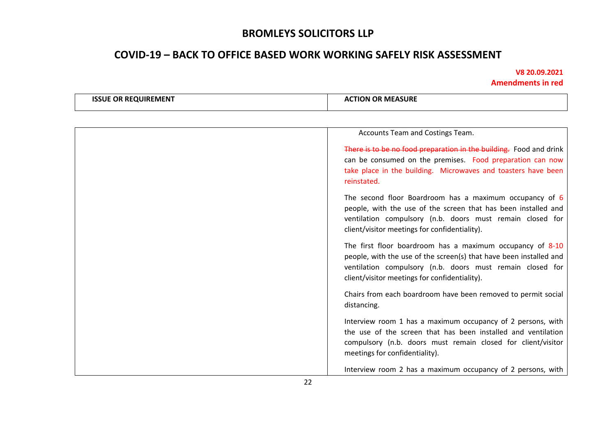# **COVID-19 – BACK TO OFFICE BASED WORK WORKING SAFELY RISK ASSESSMENT**

| <b>ISSUE OR REQUIREMENT</b> | <b>ACTION OR MEASURE</b>                                                                                                                                                                                                                      |
|-----------------------------|-----------------------------------------------------------------------------------------------------------------------------------------------------------------------------------------------------------------------------------------------|
|                             |                                                                                                                                                                                                                                               |
|                             | Accounts Team and Costings Team.                                                                                                                                                                                                              |
|                             | There is to be no food preparation in the building. Food and drink<br>can be consumed on the premises. Food preparation can now<br>take place in the building. Microwaves and toasters have been<br>reinstated.                               |
|                             | The second floor Boardroom has a maximum occupancy of 6<br>people, with the use of the screen that has been installed and<br>ventilation compulsory (n.b. doors must remain closed for<br>client/visitor meetings for confidentiality).       |
|                             | The first floor boardroom has a maximum occupancy of 8-10<br>people, with the use of the screen(s) that have been installed and<br>ventilation compulsory (n.b. doors must remain closed for<br>client/visitor meetings for confidentiality). |
|                             | Chairs from each boardroom have been removed to permit social<br>distancing.                                                                                                                                                                  |
|                             | Interview room 1 has a maximum occupancy of 2 persons, with<br>the use of the screen that has been installed and ventilation<br>compulsory (n.b. doors must remain closed for client/visitor<br>meetings for confidentiality).                |
|                             | Interview room 2 has a maximum occupancy of 2 persons, with                                                                                                                                                                                   |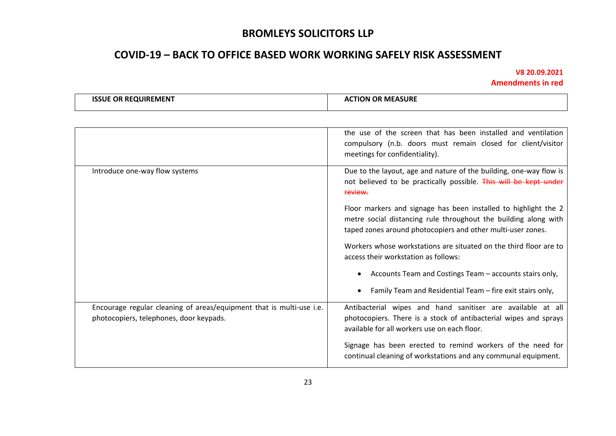# **COVID-19 – BACK TO OFFICE BASED WORK WORKING SAFELY RISK ASSESSMENT**

| <b>QUIREMENT</b><br>155.<br>-RI<br>.1 IF<br>OR | <b>MEASURE</b><br><b>OR</b><br>.rlON 1<br>" |
|------------------------------------------------|---------------------------------------------|
|                                                |                                             |

|                                                                                                                 | the use of the screen that has been installed and ventilation<br>compulsory (n.b. doors must remain closed for client/visitor<br>meetings for confidentiality).                                   |
|-----------------------------------------------------------------------------------------------------------------|---------------------------------------------------------------------------------------------------------------------------------------------------------------------------------------------------|
| Introduce one-way flow systems                                                                                  | Due to the layout, age and nature of the building, one-way flow is<br>not believed to be practically possible. This will be kept under<br>review.                                                 |
|                                                                                                                 | Floor markers and signage has been installed to highlight the 2<br>metre social distancing rule throughout the building along with<br>taped zones around photocopiers and other multi-user zones. |
|                                                                                                                 | Workers whose workstations are situated on the third floor are to<br>access their workstation as follows:                                                                                         |
|                                                                                                                 | Accounts Team and Costings Team - accounts stairs only,                                                                                                                                           |
|                                                                                                                 | Family Team and Residential Team - fire exit stairs only,                                                                                                                                         |
| Encourage regular cleaning of areas/equipment that is multi-use i.e.<br>photocopiers, telephones, door keypads. | Antibacterial wipes and hand sanitiser are available at all<br>photocopiers. There is a stock of antibacterial wipes and sprays<br>available for all workers use on each floor.                   |
|                                                                                                                 | Signage has been erected to remind workers of the need for<br>continual cleaning of workstations and any communal equipment.                                                                      |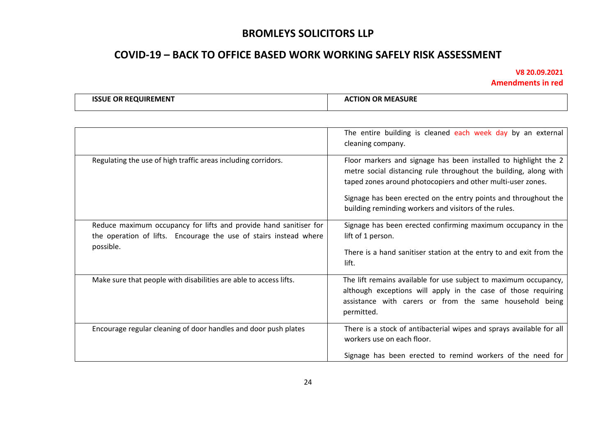# **COVID-19 – BACK TO OFFICE BASED WORK WORKING SAFELY RISK ASSESSMENT**

| <b>QUIREMENT</b><br>155.<br>-RI<br>.1 IF<br>OR | <b>MEASURE</b><br><b>OR</b><br>.rlON 1<br>" |
|------------------------------------------------|---------------------------------------------|
|                                                |                                             |

|                                                                                                                                                     | The entire building is cleaned each week day by an external<br>cleaning company.                                                                                                                                                                                                                                               |
|-----------------------------------------------------------------------------------------------------------------------------------------------------|--------------------------------------------------------------------------------------------------------------------------------------------------------------------------------------------------------------------------------------------------------------------------------------------------------------------------------|
| Regulating the use of high traffic areas including corridors.                                                                                       | Floor markers and signage has been installed to highlight the 2<br>metre social distancing rule throughout the building, along with<br>taped zones around photocopiers and other multi-user zones.<br>Signage has been erected on the entry points and throughout the<br>building reminding workers and visitors of the rules. |
| Reduce maximum occupancy for lifts and provide hand sanitiser for<br>the operation of lifts. Encourage the use of stairs instead where<br>possible. | Signage has been erected confirming maximum occupancy in the<br>lift of 1 person.<br>There is a hand sanitiser station at the entry to and exit from the<br>lift.                                                                                                                                                              |
| Make sure that people with disabilities are able to access lifts.                                                                                   | The lift remains available for use subject to maximum occupancy,<br>although exceptions will apply in the case of those requiring<br>assistance with carers or from the same household being<br>permitted.                                                                                                                     |
| Encourage regular cleaning of door handles and door push plates                                                                                     | There is a stock of antibacterial wipes and sprays available for all<br>workers use on each floor.<br>Signage has been erected to remind workers of the need for                                                                                                                                                               |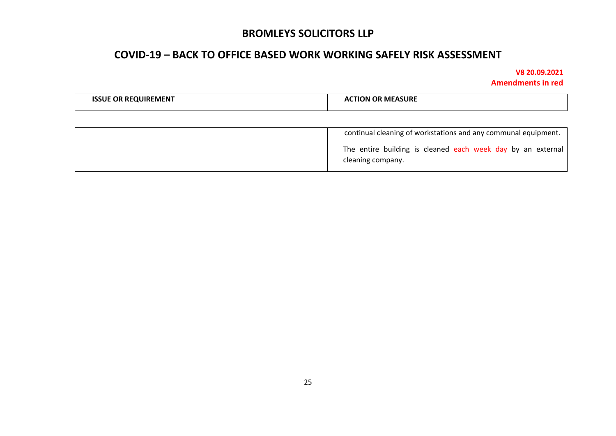## **COVID-19 – BACK TO OFFICE BASED WORK WORKING SAFELY RISK ASSESSMENT**

| <b>QUIREMENT</b>         | <b>MEASURE</b> |
|--------------------------|----------------|
| $\epsilon$ RF $\epsilon$ | .rion r        |
| ISSLIF                   | OP.            |
| ωR                       | "              |
|                          |                |

| continual cleaning of workstations and any communal equipment.                   |
|----------------------------------------------------------------------------------|
| The entire building is cleaned each week day by an external<br>cleaning company. |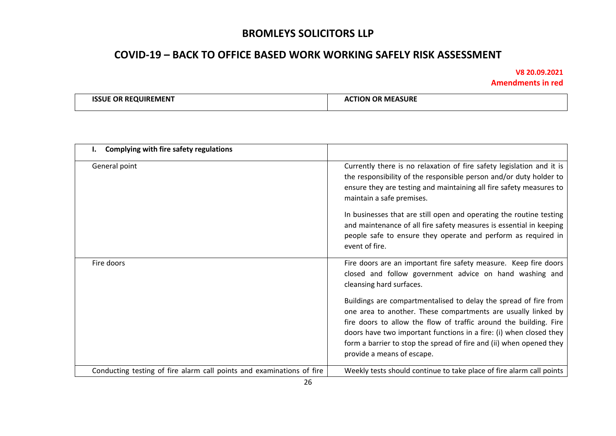## **COVID-19 – BACK TO OFFICE BASED WORK WORKING SAFELY RISK ASSESSMENT**

| <b>ISSUE OR REQUIREMENT</b> | <b>ACTION OR MEASURE</b> |
|-----------------------------|--------------------------|
|                             |                          |

| Complying with fire safety regulations                                |                                                                                                                                                                                                                                                                                                                                                                                                                                                                                  |
|-----------------------------------------------------------------------|----------------------------------------------------------------------------------------------------------------------------------------------------------------------------------------------------------------------------------------------------------------------------------------------------------------------------------------------------------------------------------------------------------------------------------------------------------------------------------|
| General point                                                         | Currently there is no relaxation of fire safety legislation and it is<br>the responsibility of the responsible person and/or duty holder to<br>ensure they are testing and maintaining all fire safety measures to<br>maintain a safe premises.<br>In businesses that are still open and operating the routine testing<br>and maintenance of all fire safety measures is essential in keeping<br>people safe to ensure they operate and perform as required in<br>event of fire. |
| Fire doors                                                            | Fire doors are an important fire safety measure. Keep fire doors<br>closed and follow government advice on hand washing and<br>cleansing hard surfaces.                                                                                                                                                                                                                                                                                                                          |
|                                                                       | Buildings are compartmentalised to delay the spread of fire from<br>one area to another. These compartments are usually linked by<br>fire doors to allow the flow of traffic around the building. Fire<br>doors have two important functions in a fire: (i) when closed they<br>form a barrier to stop the spread of fire and (ii) when opened they<br>provide a means of escape.                                                                                                |
| Conducting testing of fire alarm call points and examinations of fire | Weekly tests should continue to take place of fire alarm call points                                                                                                                                                                                                                                                                                                                                                                                                             |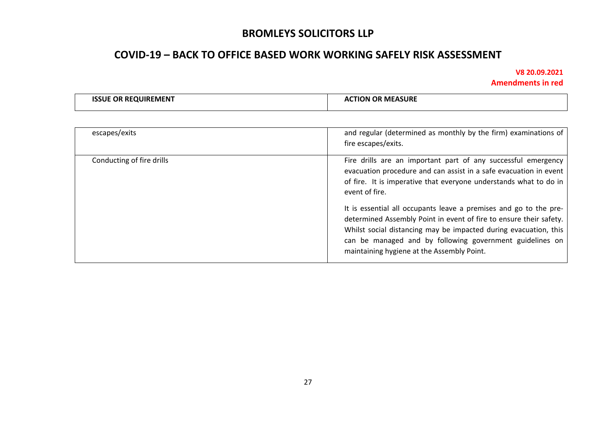# **COVID-19 – BACK TO OFFICE BASED WORK WORKING SAFELY RISK ASSESSMENT**

| OUIREMENT<br><b>OR REO!</b><br>^'<br>- 11 | <b>MEASURE</b><br>τιοΝ<br>___ |
|-------------------------------------------|-------------------------------|
|-------------------------------------------|-------------------------------|

| escapes/exits             | and regular (determined as monthly by the firm) examinations of<br>fire escapes/exits.                                                                                                                                                                                                                                                                                                                                                                                                                                                             |
|---------------------------|----------------------------------------------------------------------------------------------------------------------------------------------------------------------------------------------------------------------------------------------------------------------------------------------------------------------------------------------------------------------------------------------------------------------------------------------------------------------------------------------------------------------------------------------------|
| Conducting of fire drills | Fire drills are an important part of any successful emergency<br>evacuation procedure and can assist in a safe evacuation in event<br>of fire. It is imperative that everyone understands what to do in<br>event of fire.<br>It is essential all occupants leave a premises and go to the pre-<br>determined Assembly Point in event of fire to ensure their safety.<br>Whilst social distancing may be impacted during evacuation, this<br>can be managed and by following government guidelines on<br>maintaining hygiene at the Assembly Point. |
|                           |                                                                                                                                                                                                                                                                                                                                                                                                                                                                                                                                                    |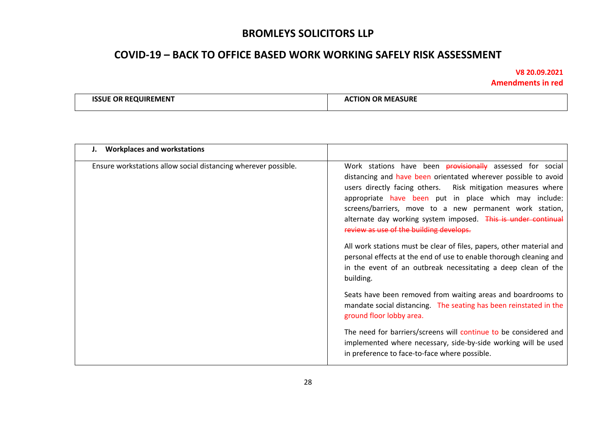## **COVID-19 – BACK TO OFFICE BASED WORK WORKING SAFELY RISK ASSESSMENT**

| <b>OR REQUIREMENT</b> | <b>TION OR MEASURE</b> |
|-----------------------|------------------------|
| <b>ISSLIE</b>         | "                      |
|                       |                        |
|                       |                        |

| <b>Workplaces and workstations</b><br>J.                       |                                                                                                                                                                                                                                                                                                                                                                                                                                                                                                                                                                                                                                                                |
|----------------------------------------------------------------|----------------------------------------------------------------------------------------------------------------------------------------------------------------------------------------------------------------------------------------------------------------------------------------------------------------------------------------------------------------------------------------------------------------------------------------------------------------------------------------------------------------------------------------------------------------------------------------------------------------------------------------------------------------|
| Ensure workstations allow social distancing wherever possible. | Work stations have been <b>provisionally</b> assessed for social<br>distancing and have been orientated wherever possible to avoid<br>users directly facing others. Risk mitigation measures where<br>appropriate have been put in place which may include:<br>screens/barriers, move to a new permanent work station,<br>alternate day working system imposed. This is under continual<br>review as use of the building develops.<br>All work stations must be clear of files, papers, other material and<br>personal effects at the end of use to enable thorough cleaning and<br>in the event of an outbreak necessitating a deep clean of the<br>building. |
|                                                                | Seats have been removed from waiting areas and boardrooms to<br>mandate social distancing. The seating has been reinstated in the<br>ground floor lobby area.                                                                                                                                                                                                                                                                                                                                                                                                                                                                                                  |
|                                                                | The need for barriers/screens will continue to be considered and<br>implemented where necessary, side-by-side working will be used<br>in preference to face-to-face where possible.                                                                                                                                                                                                                                                                                                                                                                                                                                                                            |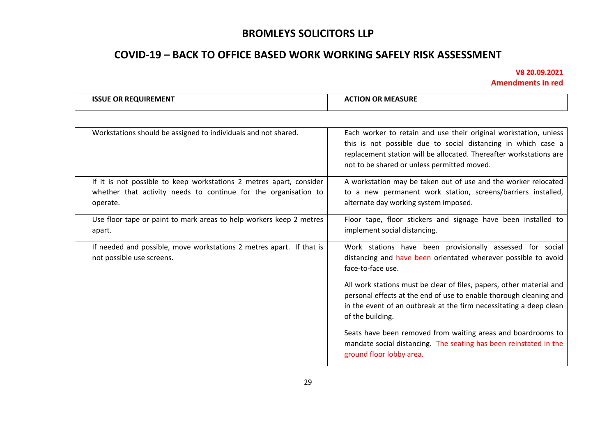# **COVID-19 – BACK TO OFFICE BASED WORK WORKING SAFELY RISK ASSESSMENT**

|  | <b>I OR MEASURE</b><br>. OR<br>ISSUE<br><b>OUIREMENT</b><br><b>RE</b><br>TION ( |
|--|---------------------------------------------------------------------------------|
|--|---------------------------------------------------------------------------------|

| Workstations should be assigned to individuals and not shared.                                                                                     | Each worker to retain and use their original workstation, unless<br>this is not possible due to social distancing in which case a<br>replacement station will be allocated. Thereafter workstations are<br>not to be shared or unless permitted moved. |
|----------------------------------------------------------------------------------------------------------------------------------------------------|--------------------------------------------------------------------------------------------------------------------------------------------------------------------------------------------------------------------------------------------------------|
| If it is not possible to keep workstations 2 metres apart, consider<br>whether that activity needs to continue for the organisation to<br>operate. | A workstation may be taken out of use and the worker relocated<br>to a new permanent work station, screens/barriers installed,<br>alternate day working system imposed.                                                                                |
| Use floor tape or paint to mark areas to help workers keep 2 metres<br>apart.                                                                      | Floor tape, floor stickers and signage have been installed to<br>implement social distancing.                                                                                                                                                          |
| If needed and possible, move workstations 2 metres apart. If that is<br>not possible use screens.                                                  | Work stations have been provisionally assessed for social<br>distancing and have been orientated wherever possible to avoid<br>face-to-face use.                                                                                                       |
|                                                                                                                                                    | All work stations must be clear of files, papers, other material and<br>personal effects at the end of use to enable thorough cleaning and<br>in the event of an outbreak at the firm necessitating a deep clean<br>of the building.                   |
|                                                                                                                                                    | Seats have been removed from waiting areas and boardrooms to<br>mandate social distancing. The seating has been reinstated in the<br>ground floor lobby area.                                                                                          |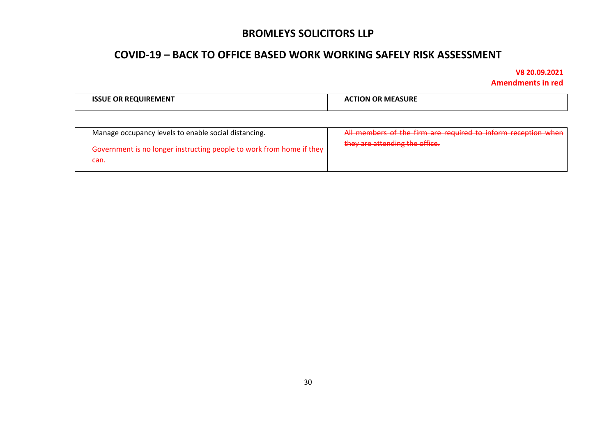## **COVID-19 – BACK TO OFFICE BASED WORK WORKING SAFELY RISK ASSESSMENT**

 $\Gamma$ 

| <b>QUIREMENT</b><br>ΩR<br>51 H | OR MEASURE<br>TION<br>Δſ |
|--------------------------------|--------------------------|
|                                |                          |

| Manage occupancy levels to enable social distancing.                         | All members of the firm are required to inform reception when |
|------------------------------------------------------------------------------|---------------------------------------------------------------|
| Government is no longer instructing people to work from home if they<br>can. | they are attending the office.                                |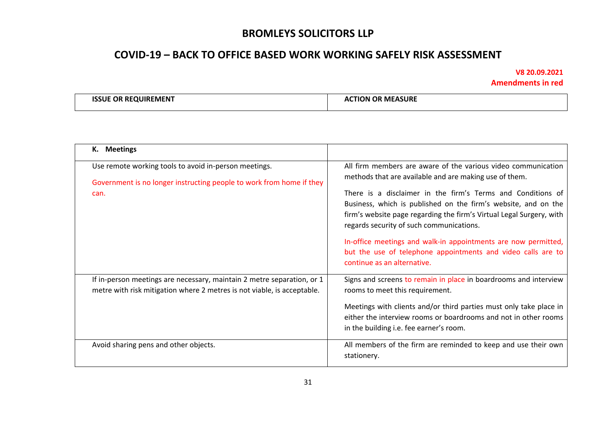# **COVID-19 – BACK TO OFFICE BASED WORK WORKING SAFELY RISK ASSESSMENT**

| <b>OR</b><br><b>REQUIREMENT</b><br><b>MEASURE</b><br>OF<br>ION. |  |
|-----------------------------------------------------------------|--|
|-----------------------------------------------------------------|--|

| <b>Meetings</b><br>к.                                                                                                                             |                                                                                                                                                                                                                                                                                                                                                                                                                                                                                                                                               |
|---------------------------------------------------------------------------------------------------------------------------------------------------|-----------------------------------------------------------------------------------------------------------------------------------------------------------------------------------------------------------------------------------------------------------------------------------------------------------------------------------------------------------------------------------------------------------------------------------------------------------------------------------------------------------------------------------------------|
| Use remote working tools to avoid in-person meetings.<br>Government is no longer instructing people to work from home if they<br>can.             | All firm members are aware of the various video communication<br>methods that are available and are making use of them.<br>There is a disclaimer in the firm's Terms and Conditions of<br>Business, which is published on the firm's website, and on the<br>firm's website page regarding the firm's Virtual Legal Surgery, with<br>regards security of such communications.<br>In-office meetings and walk-in appointments are now permitted,<br>but the use of telephone appointments and video calls are to<br>continue as an alternative. |
| If in-person meetings are necessary, maintain 2 metre separation, or 1<br>metre with risk mitigation where 2 metres is not viable, is acceptable. | Signs and screens to remain in place in boardrooms and interview<br>rooms to meet this requirement.<br>Meetings with clients and/or third parties must only take place in<br>either the interview rooms or boardrooms and not in other rooms<br>in the building i.e. fee earner's room.                                                                                                                                                                                                                                                       |
| Avoid sharing pens and other objects.                                                                                                             | All members of the firm are reminded to keep and use their own<br>stationery.                                                                                                                                                                                                                                                                                                                                                                                                                                                                 |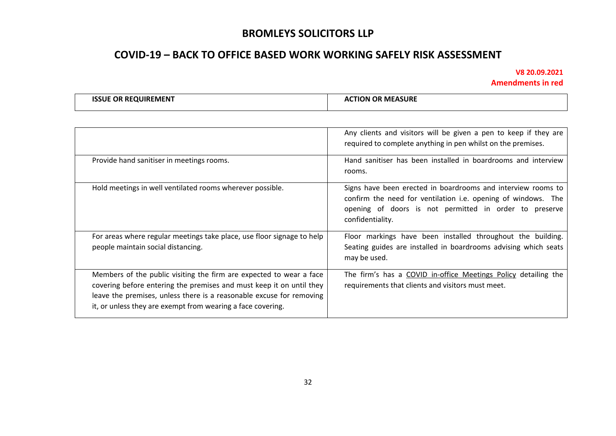# **COVID-19 – BACK TO OFFICE BASED WORK WORKING SAFELY RISK ASSESSMENT**

| <b>ISSUE OR REQUIREMENT</b> | <b>ACTION OR MEASURE</b> |
|-----------------------------|--------------------------|
|                             |                          |

|                                                                                                                                                                                                                                                                                    | Any clients and visitors will be given a pen to keep if they are<br>required to complete anything in pen whilst on the premises.                                                                            |
|------------------------------------------------------------------------------------------------------------------------------------------------------------------------------------------------------------------------------------------------------------------------------------|-------------------------------------------------------------------------------------------------------------------------------------------------------------------------------------------------------------|
| Provide hand sanitiser in meetings rooms.                                                                                                                                                                                                                                          | Hand sanitiser has been installed in boardrooms and interview<br>rooms.                                                                                                                                     |
| Hold meetings in well ventilated rooms wherever possible.                                                                                                                                                                                                                          | Signs have been erected in boardrooms and interview rooms to<br>confirm the need for ventilation i.e. opening of windows. The<br>opening of doors is not permitted in order to preserve<br>confidentiality. |
| For areas where regular meetings take place, use floor signage to help<br>people maintain social distancing.                                                                                                                                                                       | Floor markings have been installed throughout the building.<br>Seating guides are installed in boardrooms advising which seats<br>may be used.                                                              |
| Members of the public visiting the firm are expected to wear a face<br>covering before entering the premises and must keep it on until they<br>leave the premises, unless there is a reasonable excuse for removing<br>it, or unless they are exempt from wearing a face covering. | The firm's has a COVID in-office Meetings Policy detailing the<br>requirements that clients and visitors must meet.                                                                                         |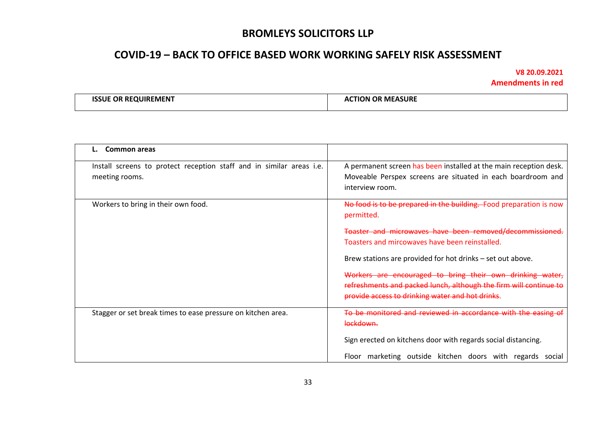## **COVID-19 – BACK TO OFFICE BASED WORK WORKING SAFELY RISK ASSESSMENT**

| : REOUIREMENT<br>. OR<br>1921 I | <b>MEASURE</b><br>:TION<br>- ОК<br>^^ |
|---------------------------------|---------------------------------------|
|                                 |                                       |

| Common areas                                                                           |                                                                                                                                                                                    |
|----------------------------------------------------------------------------------------|------------------------------------------------------------------------------------------------------------------------------------------------------------------------------------|
| Install screens to protect reception staff and in similar areas i.e.<br>meeting rooms. | A permanent screen has been installed at the main reception desk.<br>Moveable Perspex screens are situated in each boardroom and<br>interview room.                                |
| Workers to bring in their own food.                                                    | No food is to be prepared in the building. Food preparation is now<br>permitted.                                                                                                   |
|                                                                                        | Toaster and microwaves have been removed/decommissioned.<br>Toasters and mircowaves have been reinstalled.<br>Brew stations are provided for hot drinks - set out above.           |
|                                                                                        | Workers are encouraged to bring their own drinking water,<br>refreshments and packed lunch, although the firm will continue to<br>provide access to drinking water and hot drinks. |
| Stagger or set break times to ease pressure on kitchen area.                           | To be monitored and reviewed in accordance with the easing of<br>lockdown.                                                                                                         |
|                                                                                        | Sign erected on kitchens door with regards social distancing.<br>Floor marketing outside kitchen doors with regards social                                                         |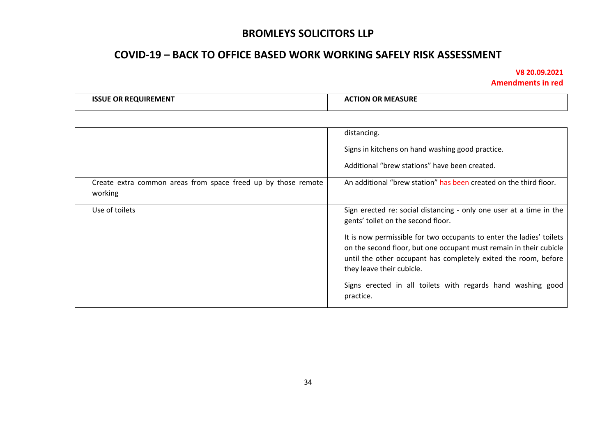## **COVID-19 – BACK TO OFFICE BASED WORK WORKING SAFELY RISK ASSESSMENT**

| <b>E OR REQUIREMENT</b><br><b>ISSUE</b> | <b>TION OR MEASURE</b><br>л. |
|-----------------------------------------|------------------------------|
|-----------------------------------------|------------------------------|

|                                                                          | distancing.                                                                                                                                                                                                                                |
|--------------------------------------------------------------------------|--------------------------------------------------------------------------------------------------------------------------------------------------------------------------------------------------------------------------------------------|
|                                                                          | Signs in kitchens on hand washing good practice.                                                                                                                                                                                           |
|                                                                          | Additional "brew stations" have been created.                                                                                                                                                                                              |
| Create extra common areas from space freed up by those remote<br>working | An additional "brew station" has been created on the third floor.                                                                                                                                                                          |
| Use of toilets                                                           | Sign erected re: social distancing - only one user at a time in the<br>gents' toilet on the second floor.                                                                                                                                  |
|                                                                          | It is now permissible for two occupants to enter the ladies' toilets<br>on the second floor, but one occupant must remain in their cubicle<br>until the other occupant has completely exited the room, before<br>they leave their cubicle. |
|                                                                          | Signs erected in all toilets with regards hand washing good<br>practice.                                                                                                                                                                   |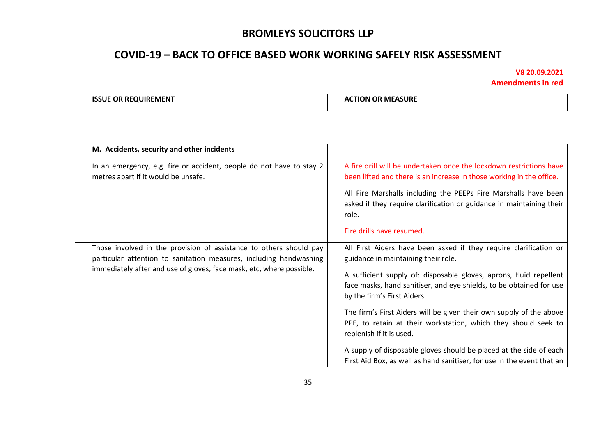## **COVID-19 – BACK TO OFFICE BASED WORK WORKING SAFELY RISK ASSESSMENT**

| <br>UIREMENT<br>RF<br>. JF<br>the contract of the contract of the contract of the contract of the contract of the contract of the contract of | `ASURL<br>MF.<br>OF<br>ш<br>Δ1<br>м |
|-----------------------------------------------------------------------------------------------------------------------------------------------|-------------------------------------|
|                                                                                                                                               |                                     |

| M. Accidents, security and other incidents                                                                                                                                                                       |                                                                                                                                                                                                                                                                                                                                                                                                                                                                                                                                                                                                           |
|------------------------------------------------------------------------------------------------------------------------------------------------------------------------------------------------------------------|-----------------------------------------------------------------------------------------------------------------------------------------------------------------------------------------------------------------------------------------------------------------------------------------------------------------------------------------------------------------------------------------------------------------------------------------------------------------------------------------------------------------------------------------------------------------------------------------------------------|
| In an emergency, e.g. fire or accident, people do not have to stay 2<br>metres apart if it would be unsafe.                                                                                                      | A fire drill will be undertaken once the lockdown restrictions have<br>been lifted and there is an increase in those working in the office.<br>All Fire Marshalls including the PEEPs Fire Marshalls have been<br>asked if they require clarification or guidance in maintaining their<br>role.<br>Fire drills have resumed.                                                                                                                                                                                                                                                                              |
| Those involved in the provision of assistance to others should pay<br>particular attention to sanitation measures, including handwashing<br>immediately after and use of gloves, face mask, etc, where possible. | All First Aiders have been asked if they require clarification or<br>guidance in maintaining their role.<br>A sufficient supply of: disposable gloves, aprons, fluid repellent<br>face masks, hand sanitiser, and eye shields, to be obtained for use<br>by the firm's First Aiders.<br>The firm's First Aiders will be given their own supply of the above<br>PPE, to retain at their workstation, which they should seek to<br>replenish if it is used.<br>A supply of disposable gloves should be placed at the side of each<br>First Aid Box, as well as hand sanitiser, for use in the event that an |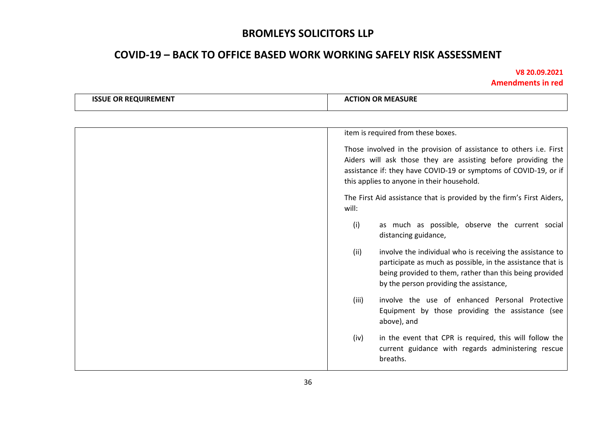# **COVID-19 – BACK TO OFFICE BASED WORK WORKING SAFELY RISK ASSESSMENT**

| <b>ISSUE OR REQUIREMENT</b> | <b>ACTION OR MEASURE</b>                                                                                                                                                                                                                              |
|-----------------------------|-------------------------------------------------------------------------------------------------------------------------------------------------------------------------------------------------------------------------------------------------------|
|                             |                                                                                                                                                                                                                                                       |
|                             | item is required from these boxes.                                                                                                                                                                                                                    |
|                             | Those involved in the provision of assistance to others i.e. First<br>Aiders will ask those they are assisting before providing the<br>assistance if: they have COVID-19 or symptoms of COVID-19, or if<br>this applies to anyone in their household. |
|                             | The First Aid assistance that is provided by the firm's First Aiders,<br>will:                                                                                                                                                                        |
|                             | (i)<br>as much as possible, observe the current social<br>distancing guidance,                                                                                                                                                                        |
|                             | involve the individual who is receiving the assistance to<br>(ii)<br>participate as much as possible, in the assistance that is<br>being provided to them, rather than this being provided<br>by the person providing the assistance,                 |
|                             | involve the use of enhanced Personal Protective<br>(iii)<br>Equipment by those providing the assistance (see<br>above), and                                                                                                                           |
|                             | in the event that CPR is required, this will follow the<br>(iv)<br>current guidance with regards administering rescue<br>breaths.                                                                                                                     |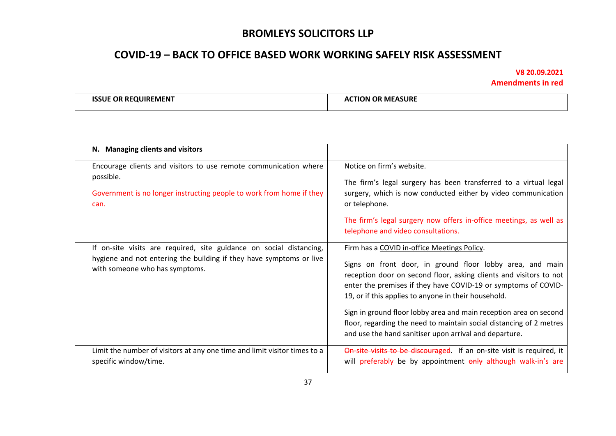# **COVID-19 – BACK TO OFFICE BASED WORK WORKING SAFELY RISK ASSESSMENT**

| E OR REQUIREMENT<br><b>ISSLIE</b> | ! MEASURE<br>:TION<br>. OR<br>Δſ |
|-----------------------------------|----------------------------------|
|-----------------------------------|----------------------------------|

| N. Managing clients and visitors                                                                                                                                             |                                                                                                                                                                                                                                                                                                                                                                                                                                                                                                                |
|------------------------------------------------------------------------------------------------------------------------------------------------------------------------------|----------------------------------------------------------------------------------------------------------------------------------------------------------------------------------------------------------------------------------------------------------------------------------------------------------------------------------------------------------------------------------------------------------------------------------------------------------------------------------------------------------------|
| Encourage clients and visitors to use remote communication where<br>possible.<br>Government is no longer instructing people to work from home if they<br>can.                | Notice on firm's website.<br>The firm's legal surgery has been transferred to a virtual legal<br>surgery, which is now conducted either by video communication<br>or telephone.<br>The firm's legal surgery now offers in-office meetings, as well as<br>telephone and video consultations.                                                                                                                                                                                                                    |
| If on-site visits are required, site guidance on social distancing,<br>hygiene and not entering the building if they have symptoms or live<br>with someone who has symptoms. | Firm has a COVID in-office Meetings Policy.<br>Signs on front door, in ground floor lobby area, and main<br>reception door on second floor, asking clients and visitors to not<br>enter the premises if they have COVID-19 or symptoms of COVID-<br>19, or if this applies to anyone in their household.<br>Sign in ground floor lobby area and main reception area on second<br>floor, regarding the need to maintain social distancing of 2 metres<br>and use the hand sanitiser upon arrival and departure. |
| Limit the number of visitors at any one time and limit visitor times to a<br>specific window/time.                                                                           | On-site visits to be discouraged. If an on-site visit is required, it<br>will preferably be by appointment only although walk-in's are                                                                                                                                                                                                                                                                                                                                                                         |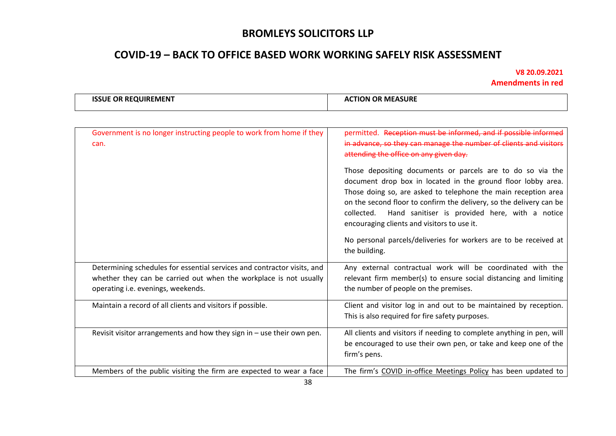# **COVID-19 – BACK TO OFFICE BASED WORK WORKING SAFELY RISK ASSESSMENT**

| ıсı    | `SUR∟ |
|--------|-------|
| ш.     | MІ    |
| · IV/I | /W    |
|        |       |
|        |       |

| Government is no longer instructing people to work from home if they<br>can.                                                                                                       | permitted. Reception must be informed, and if possible informed<br>in advance, so they can manage the number of clients and visitors<br>attending the office on any given day.<br>Those depositing documents or parcels are to do so via the<br>document drop box in located in the ground floor lobby area.<br>Those doing so, are asked to telephone the main reception area<br>on the second floor to confirm the delivery, so the delivery can be<br>collected. Hand sanitiser is provided here, with a notice<br>encouraging clients and visitors to use it.<br>No personal parcels/deliveries for workers are to be received at |
|------------------------------------------------------------------------------------------------------------------------------------------------------------------------------------|---------------------------------------------------------------------------------------------------------------------------------------------------------------------------------------------------------------------------------------------------------------------------------------------------------------------------------------------------------------------------------------------------------------------------------------------------------------------------------------------------------------------------------------------------------------------------------------------------------------------------------------|
|                                                                                                                                                                                    | the building.                                                                                                                                                                                                                                                                                                                                                                                                                                                                                                                                                                                                                         |
| Determining schedules for essential services and contractor visits, and<br>whether they can be carried out when the workplace is not usually<br>operating i.e. evenings, weekends. | Any external contractual work will be coordinated with the<br>relevant firm member(s) to ensure social distancing and limiting<br>the number of people on the premises.                                                                                                                                                                                                                                                                                                                                                                                                                                                               |
| Maintain a record of all clients and visitors if possible.                                                                                                                         | Client and visitor log in and out to be maintained by reception.<br>This is also required for fire safety purposes.                                                                                                                                                                                                                                                                                                                                                                                                                                                                                                                   |
| Revisit visitor arrangements and how they sign in $-$ use their own pen.                                                                                                           | All clients and visitors if needing to complete anything in pen, will<br>be encouraged to use their own pen, or take and keep one of the<br>firm's pens.                                                                                                                                                                                                                                                                                                                                                                                                                                                                              |
| Members of the public visiting the firm are expected to wear a face                                                                                                                | The firm's COVID in-office Meetings Policy has been updated to                                                                                                                                                                                                                                                                                                                                                                                                                                                                                                                                                                        |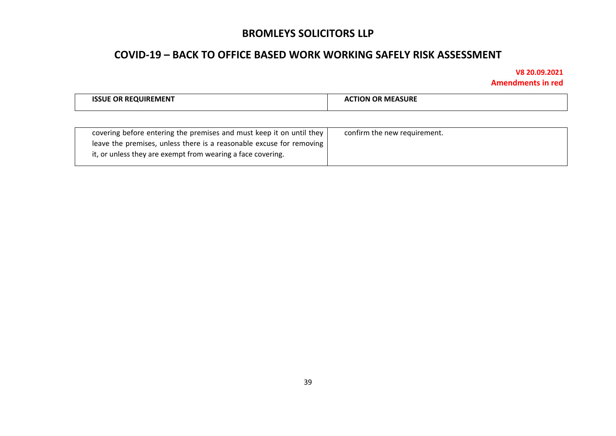## **COVID-19 – BACK TO OFFICE BASED WORK WORKING SAFELY RISK ASSESSMENT**

| <b>QUIREMENT</b><br>ΩR<br>51 H | OR MEASURE<br>TION<br>Δſ |
|--------------------------------|--------------------------|
|                                |                          |

| covering before entering the premises and must keep it on until they         | confirm the new requirement. |
|------------------------------------------------------------------------------|------------------------------|
| leave the premises, unless there is a reasonable excuse for removing $\vert$ |                              |
| it, or unless they are exempt from wearing a face covering.                  |                              |
|                                                                              |                              |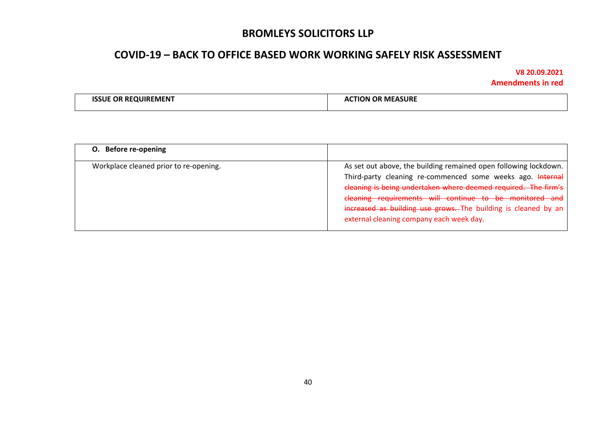## **COVID-19 – BACK TO OFFICE BASED WORK WORKING SAFELY RISK ASSESSMENT**

| <b>ISSUE OR REQUIREMENT</b> | <b>ACTION OR MEASURE</b> |
|-----------------------------|--------------------------|
|-----------------------------|--------------------------|

| O. Before re-opening                   |                                                                                                                                                                                                                                                                                                                                                                           |
|----------------------------------------|---------------------------------------------------------------------------------------------------------------------------------------------------------------------------------------------------------------------------------------------------------------------------------------------------------------------------------------------------------------------------|
| Workplace cleaned prior to re-opening. | As set out above, the building remained open following lockdown.<br>Third-party cleaning re-commenced some weeks ago. Internal<br>cleaning is being undertaken where deemed required. The firm's<br>cleaning requirements will continue to be monitored and<br>increased as building use grows. The building is cleaned by an<br>external cleaning company each week day. |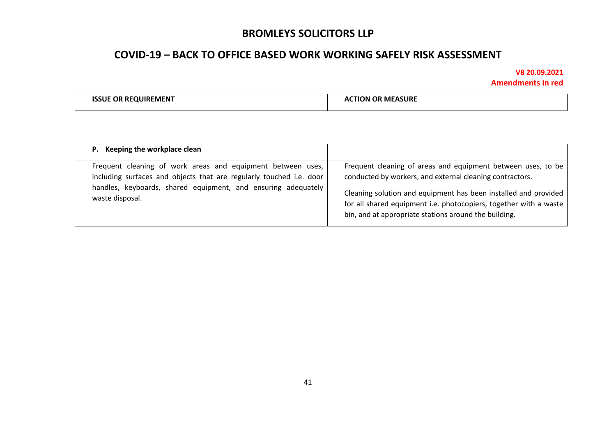## **COVID-19 – BACK TO OFFICE BASED WORK WORKING SAFELY RISK ASSESSMENT**

| . КЛ<br>. . | SI IR<br>M.<br>n<br>^` |
|-------------|------------------------|
|             |                        |

| P. Keeping the workplace clean                                                                                                                                                                                         |                                                                                                                                                                                                                                                                                                                           |
|------------------------------------------------------------------------------------------------------------------------------------------------------------------------------------------------------------------------|---------------------------------------------------------------------------------------------------------------------------------------------------------------------------------------------------------------------------------------------------------------------------------------------------------------------------|
| Frequent cleaning of work areas and equipment between uses,<br>including surfaces and objects that are regularly touched i.e. door<br>handles, keyboards, shared equipment, and ensuring adequately<br>waste disposal. | Frequent cleaning of areas and equipment between uses, to be<br>conducted by workers, and external cleaning contractors.<br>Cleaning solution and equipment has been installed and provided<br>for all shared equipment i.e. photocopiers, together with a waste<br>bin, and at appropriate stations around the building. |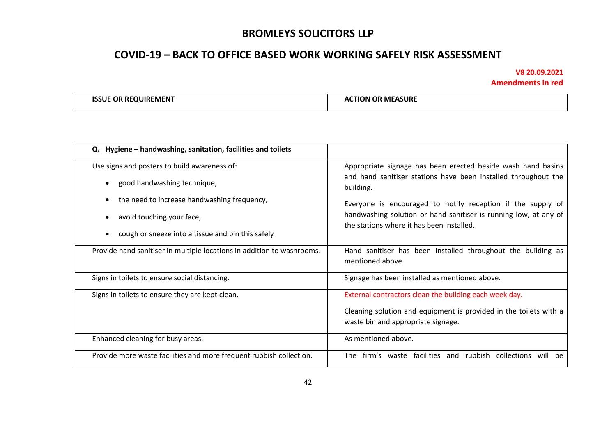## **COVID-19 – BACK TO OFFICE BASED WORK WORKING SAFELY RISK ASSESSMENT**

| · MFN<br>M |  |
|------------|--|
|------------|--|

| Q. Hygiene - handwashing, sanitation, facilities and toilets           |                                                                                                               |
|------------------------------------------------------------------------|---------------------------------------------------------------------------------------------------------------|
| Use signs and posters to build awareness of:                           | Appropriate signage has been erected beside wash hand basins                                                  |
| good handwashing technique,                                            | and hand sanitiser stations have been installed throughout the<br>building.                                   |
| the need to increase handwashing frequency,                            | Everyone is encouraged to notify reception if the supply of                                                   |
| avoid touching your face,                                              | handwashing solution or hand sanitiser is running low, at any of<br>the stations where it has been installed. |
| cough or sneeze into a tissue and bin this safely                      |                                                                                                               |
| Provide hand sanitiser in multiple locations in addition to washrooms. | Hand sanitiser has been installed throughout the building as<br>mentioned above.                              |
| Signs in toilets to ensure social distancing.                          | Signage has been installed as mentioned above.                                                                |
| Signs in toilets to ensure they are kept clean.                        | External contractors clean the building each week day.                                                        |
|                                                                        | Cleaning solution and equipment is provided in the toilets with a<br>waste bin and appropriate signage.       |
| Enhanced cleaning for busy areas.                                      | As mentioned above.                                                                                           |
| Provide more waste facilities and more frequent rubbish collection.    | firm's waste facilities and rubbish collections will<br>The<br>be                                             |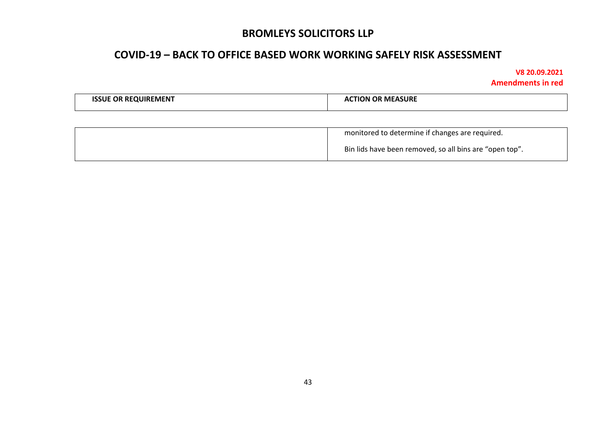## **COVID-19 – BACK TO OFFICE BASED WORK WORKING SAFELY RISK ASSESSMENT**

| <b>REQUIREMENT</b> | የ MEASURE   |
|--------------------|-------------|
| iSUE               | <b>FION</b> |
| <b>OR</b>          | л.          |
|                    |             |
|                    |             |

| monitored to determine if changes are required.         |
|---------------------------------------------------------|
| Bin lids have been removed, so all bins are "open top". |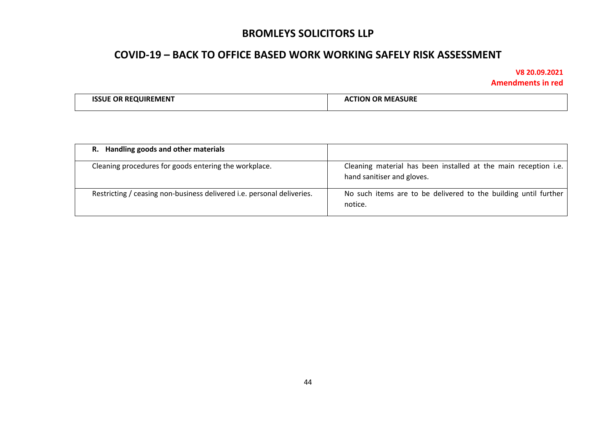## **COVID-19 – BACK TO OFFICE BASED WORK WORKING SAFELY RISK ASSESSMENT**

| <b>ISSUE OR REQUIREMENT</b> | <b>ACTION OR MEASURE</b> |
|-----------------------------|--------------------------|
|-----------------------------|--------------------------|

| R. Handling goods and other materials                                  |                                                                                               |
|------------------------------------------------------------------------|-----------------------------------------------------------------------------------------------|
| Cleaning procedures for goods entering the workplace.                  | Cleaning material has been installed at the main reception i.e.<br>hand sanitiser and gloves. |
| Restricting / ceasing non-business delivered i.e. personal deliveries. | No such items are to be delivered to the building until further<br>notice.                    |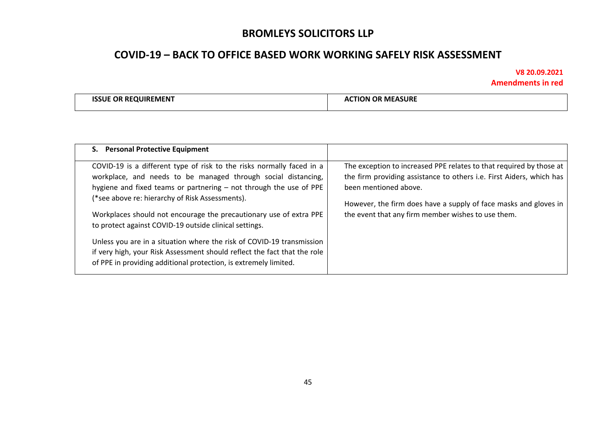# **COVID-19 – BACK TO OFFICE BASED WORK WORKING SAFELY RISK ASSESSMENT**

| <b>MEASURE</b><br>$-0.7811107247710$<br><b>OR</b><br><b>JIREMEN</b><br>RF.<br>OR<br>IN.<br>к<br>.NIE<br>,,,, |  |
|--------------------------------------------------------------------------------------------------------------|--|
|--------------------------------------------------------------------------------------------------------------|--|

| S. Personal Protective Equipment                                                                                                                                                                                                                                                                                                                                                                                                                                                                                                                                                                                         |                                                                                                                                                                                                                                                                                                |
|--------------------------------------------------------------------------------------------------------------------------------------------------------------------------------------------------------------------------------------------------------------------------------------------------------------------------------------------------------------------------------------------------------------------------------------------------------------------------------------------------------------------------------------------------------------------------------------------------------------------------|------------------------------------------------------------------------------------------------------------------------------------------------------------------------------------------------------------------------------------------------------------------------------------------------|
| COVID-19 is a different type of risk to the risks normally faced in a<br>workplace, and needs to be managed through social distancing,<br>hygiene and fixed teams or partnering - not through the use of PPE<br>(*see above re: hierarchy of Risk Assessments).<br>Workplaces should not encourage the precautionary use of extra PPE<br>to protect against COVID-19 outside clinical settings.<br>Unless you are in a situation where the risk of COVID-19 transmission<br>if very high, your Risk Assessment should reflect the fact that the role<br>of PPE in providing additional protection, is extremely limited. | The exception to increased PPE relates to that required by those at<br>the firm providing assistance to others i.e. First Aiders, which has<br>been mentioned above.<br>However, the firm does have a supply of face masks and gloves in<br>the event that any firm member wishes to use them. |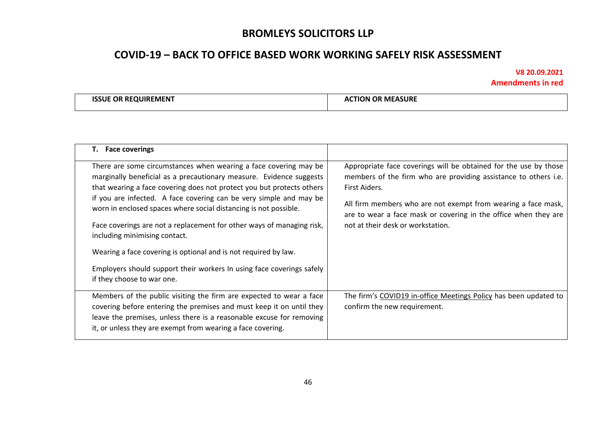# **COVID-19 – BACK TO OFFICE BASED WORK WORKING SAFELY RISK ASSESSMENT**

| EMEN-<br>ΩR<br>RF.<br>NI IF. | <b>MEASURE</b><br>MF/<br>. <b>.</b> |
|------------------------------|-------------------------------------|
|                              |                                     |

| T. Face coverings                                                                                                                                                                                                                                                                                                                                                                                                                                                                                                                                                                                                                              |                                                                                                                                                                                                                                                                                                                               |
|------------------------------------------------------------------------------------------------------------------------------------------------------------------------------------------------------------------------------------------------------------------------------------------------------------------------------------------------------------------------------------------------------------------------------------------------------------------------------------------------------------------------------------------------------------------------------------------------------------------------------------------------|-------------------------------------------------------------------------------------------------------------------------------------------------------------------------------------------------------------------------------------------------------------------------------------------------------------------------------|
| There are some circumstances when wearing a face covering may be<br>marginally beneficial as a precautionary measure. Evidence suggests<br>that wearing a face covering does not protect you but protects others<br>if you are infected. A face covering can be very simple and may be<br>worn in enclosed spaces where social distancing is not possible.<br>Face coverings are not a replacement for other ways of managing risk,<br>including minimising contact.<br>Wearing a face covering is optional and is not required by law.<br>Employers should support their workers In using face coverings safely<br>if they choose to war one. | Appropriate face coverings will be obtained for the use by those<br>members of the firm who are providing assistance to others i.e.<br>First Aiders.<br>All firm members who are not exempt from wearing a face mask,<br>are to wear a face mask or covering in the office when they are<br>not at their desk or workstation. |
| Members of the public visiting the firm are expected to wear a face<br>covering before entering the premises and must keep it on until they<br>leave the premises, unless there is a reasonable excuse for removing<br>it, or unless they are exempt from wearing a face covering.                                                                                                                                                                                                                                                                                                                                                             | The firm's COVID19 in-office Meetings Policy has been updated to<br>confirm the new requirement.                                                                                                                                                                                                                              |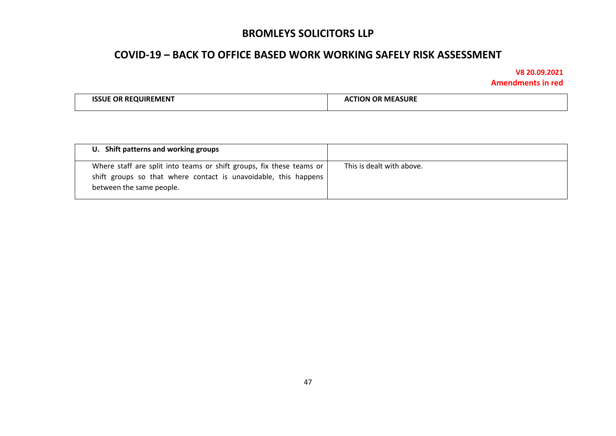## **COVID-19 – BACK TO OFFICE BASED WORK WORKING SAFELY RISK ASSESSMENT**

| <b>ISSUE OR REQUIREMENT</b> | <b>ACTION OR MEASURE</b> |
|-----------------------------|--------------------------|
|                             |                          |
|                             |                          |

| U. Shift patterns and working groups                                                                                                                                |                           |
|---------------------------------------------------------------------------------------------------------------------------------------------------------------------|---------------------------|
| Where staff are split into teams or shift groups, fix these teams or<br>shift groups so that where contact is unavoidable, this happens<br>between the same people. | This is dealt with above. |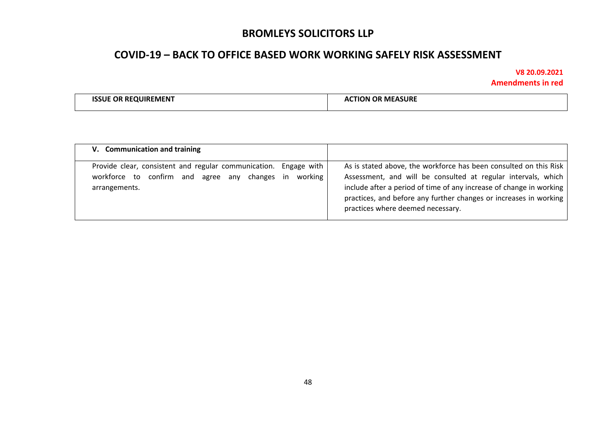## **COVID-19 – BACK TO OFFICE BASED WORK WORKING SAFELY RISK ASSESSMENT**

| -MFN.<br>ĸı<br>.<br>the contract of the contract of the contract of the contract of the contract of the contract of the contract of | M |
|-------------------------------------------------------------------------------------------------------------------------------------|---|
|                                                                                                                                     |   |

| V. Communication and training                                                                                                      |         |                                                                                                                                                                                                                                                                                                                     |
|------------------------------------------------------------------------------------------------------------------------------------|---------|---------------------------------------------------------------------------------------------------------------------------------------------------------------------------------------------------------------------------------------------------------------------------------------------------------------------|
| Provide clear, consistent and regular communication. Engage with<br>workforce to confirm and agree any changes in<br>arrangements. | working | As is stated above, the workforce has been consulted on this Risk<br>Assessment, and will be consulted at regular intervals, which<br>include after a period of time of any increase of change in working<br>practices, and before any further changes or increases in working<br>practices where deemed necessary. |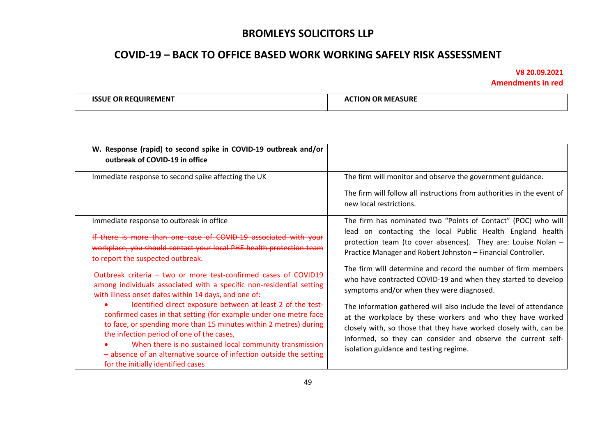## **COVID-19 – BACK TO OFFICE BASED WORK WORKING SAFELY RISK ASSESSMENT**

| ™UR.<br>EMEN<br>M |
|-------------------|
|-------------------|

| W. Response (rapid) to second spike in COVID-19 outbreak and/or<br>outbreak of COVID-19 in office                                                                                                                                                                                                                                                                                                                         |                                                                                                                                                                                                                                                                                                                 |
|---------------------------------------------------------------------------------------------------------------------------------------------------------------------------------------------------------------------------------------------------------------------------------------------------------------------------------------------------------------------------------------------------------------------------|-----------------------------------------------------------------------------------------------------------------------------------------------------------------------------------------------------------------------------------------------------------------------------------------------------------------|
| Immediate response to second spike affecting the UK                                                                                                                                                                                                                                                                                                                                                                       | The firm will monitor and observe the government guidance.<br>The firm will follow all instructions from authorities in the event of<br>new local restrictions.                                                                                                                                                 |
| Immediate response to outbreak in office<br>If there is more than one case of COVID-19 associated with your<br>workplace, you should contact your local PHE health protection team<br>to report the suspected outbreak.                                                                                                                                                                                                   | The firm has nominated two "Points of Contact" (POC) who will<br>lead on contacting the local Public Health England health<br>protection team (to cover absences). They are: Louise Nolan -<br>Practice Manager and Robert Johnston - Financial Controller.                                                     |
| Outbreak criteria - two or more test-confirmed cases of COVID19<br>among individuals associated with a specific non-residential setting<br>with illness onset dates within 14 days, and one of:                                                                                                                                                                                                                           | The firm will determine and record the number of firm members<br>who have contracted COVID-19 and when they started to develop<br>symptoms and/or when they were diagnosed.                                                                                                                                     |
| Identified direct exposure between at least 2 of the test-<br>confirmed cases in that setting (for example under one metre face<br>to face, or spending more than 15 minutes within 2 metres) during<br>the infection period of one of the cases,<br>When there is no sustained local community transmission<br>- absence of an alternative source of infection outside the setting<br>for the initially identified cases | The information gathered will also include the level of attendance<br>at the workplace by these workers and who they have worked<br>closely with, so those that they have worked closely with, can be<br>informed, so they can consider and observe the current self-<br>isolation guidance and testing regime. |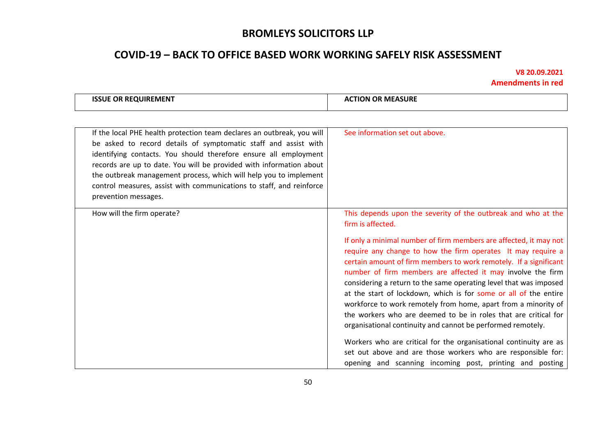# **COVID-19 – BACK TO OFFICE BASED WORK WORKING SAFELY RISK ASSESSMENT**

| <b>ISSUE OR REQUIREMENT</b>                                                                                                                                                                                                                                                                                                                                                                                                                               | <b>ACTION OR MEASURE</b>                                                                                                                                                                                                                                                                                                                                                                                                                                                                                                                                                                                           |
|-----------------------------------------------------------------------------------------------------------------------------------------------------------------------------------------------------------------------------------------------------------------------------------------------------------------------------------------------------------------------------------------------------------------------------------------------------------|--------------------------------------------------------------------------------------------------------------------------------------------------------------------------------------------------------------------------------------------------------------------------------------------------------------------------------------------------------------------------------------------------------------------------------------------------------------------------------------------------------------------------------------------------------------------------------------------------------------------|
|                                                                                                                                                                                                                                                                                                                                                                                                                                                           |                                                                                                                                                                                                                                                                                                                                                                                                                                                                                                                                                                                                                    |
| If the local PHE health protection team declares an outbreak, you will<br>be asked to record details of symptomatic staff and assist with<br>identifying contacts. You should therefore ensure all employment<br>records are up to date. You will be provided with information about<br>the outbreak management process, which will help you to implement<br>control measures, assist with communications to staff, and reinforce<br>prevention messages. | See information set out above.                                                                                                                                                                                                                                                                                                                                                                                                                                                                                                                                                                                     |
| How will the firm operate?                                                                                                                                                                                                                                                                                                                                                                                                                                | This depends upon the severity of the outbreak and who at the<br>firm is affected.                                                                                                                                                                                                                                                                                                                                                                                                                                                                                                                                 |
|                                                                                                                                                                                                                                                                                                                                                                                                                                                           | If only a minimal number of firm members are affected, it may not<br>require any change to how the firm operates It may require a<br>certain amount of firm members to work remotely. If a significant<br>number of firm members are affected it may involve the firm<br>considering a return to the same operating level that was imposed<br>at the start of lockdown, which is for some or all of the entire<br>workforce to work remotely from home, apart from a minority of<br>the workers who are deemed to be in roles that are critical for<br>organisational continuity and cannot be performed remotely. |
|                                                                                                                                                                                                                                                                                                                                                                                                                                                           | Workers who are critical for the organisational continuity are as<br>set out above and are those workers who are responsible for:<br>opening and scanning incoming post, printing and posting                                                                                                                                                                                                                                                                                                                                                                                                                      |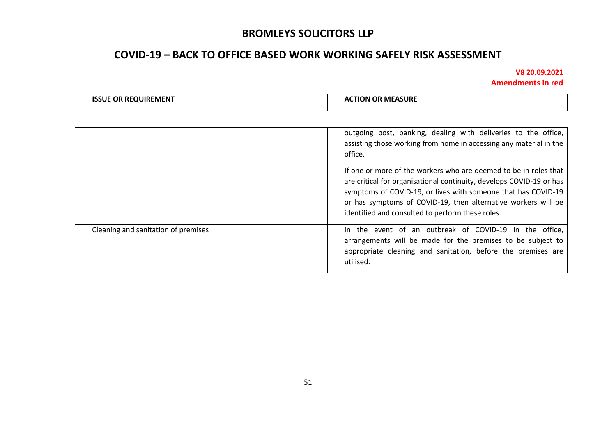# **COVID-19 – BACK TO OFFICE BASED WORK WORKING SAFELY RISK ASSESSMENT**

| <b>ISSUE OR REQUIREMENT</b>         | <b>ACTION OR MEASURE</b>                                                                                                                                                                                                                                                                                                       |
|-------------------------------------|--------------------------------------------------------------------------------------------------------------------------------------------------------------------------------------------------------------------------------------------------------------------------------------------------------------------------------|
|                                     |                                                                                                                                                                                                                                                                                                                                |
|                                     | outgoing post, banking, dealing with deliveries to the office,<br>assisting those working from home in accessing any material in the<br>office.                                                                                                                                                                                |
|                                     | If one or more of the workers who are deemed to be in roles that<br>are critical for organisational continuity, develops COVID-19 or has<br>symptoms of COVID-19, or lives with someone that has COVID-19<br>or has symptoms of COVID-19, then alternative workers will be<br>identified and consulted to perform these roles. |
| Cleaning and sanitation of premises | In the event of an outbreak of COVID-19 in the office,<br>arrangements will be made for the premises to be subject to<br>appropriate cleaning and sanitation, before the premises are<br>utilised.                                                                                                                             |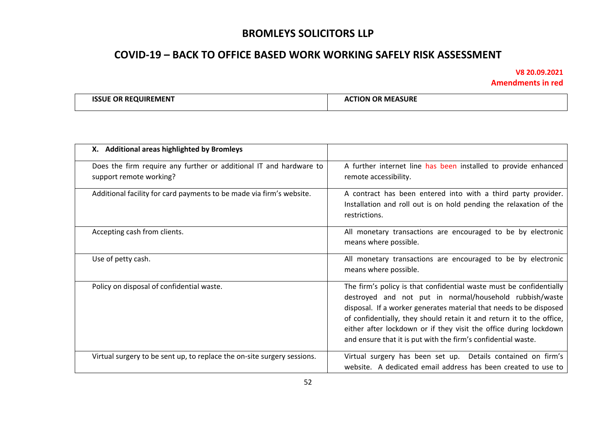## **COVID-19 – BACK TO OFFICE BASED WORK WORKING SAFELY RISK ASSESSMENT**

| E OR REQUIREMENT<br><b>ISSLIE</b> | <b>TION OR MEASURE</b><br>л 1 |
|-----------------------------------|-------------------------------|
|-----------------------------------|-------------------------------|

| X. Additional areas highlighted by Bromleys                                                   |                                                                                                                                                                                                                                                                                                                                                                                                                     |
|-----------------------------------------------------------------------------------------------|---------------------------------------------------------------------------------------------------------------------------------------------------------------------------------------------------------------------------------------------------------------------------------------------------------------------------------------------------------------------------------------------------------------------|
| Does the firm require any further or additional IT and hardware to<br>support remote working? | A further internet line has been installed to provide enhanced<br>remote accessibility.                                                                                                                                                                                                                                                                                                                             |
| Additional facility for card payments to be made via firm's website.                          | A contract has been entered into with a third party provider.<br>Installation and roll out is on hold pending the relaxation of the<br>restrictions.                                                                                                                                                                                                                                                                |
| Accepting cash from clients.                                                                  | All monetary transactions are encouraged to be by electronic<br>means where possible.                                                                                                                                                                                                                                                                                                                               |
| Use of petty cash.                                                                            | All monetary transactions are encouraged to be by electronic<br>means where possible.                                                                                                                                                                                                                                                                                                                               |
| Policy on disposal of confidential waste.                                                     | The firm's policy is that confidential waste must be confidentially<br>destroyed and not put in normal/household rubbish/waste<br>disposal. If a worker generates material that needs to be disposed<br>of confidentially, they should retain it and return it to the office,<br>either after lockdown or if they visit the office during lockdown<br>and ensure that it is put with the firm's confidential waste. |
| Virtual surgery to be sent up, to replace the on-site surgery sessions.                       | Virtual surgery has been set up. Details contained on firm's<br>website. A dedicated email address has been created to use to                                                                                                                                                                                                                                                                                       |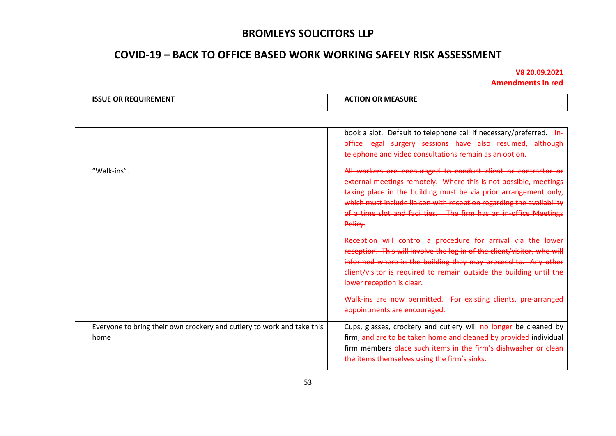# **COVID-19 – BACK TO OFFICE BASED WORK WORKING SAFELY RISK ASSESSMENT**

| <b>E OR REQUIREMENT</b><br><b>ISSUE</b> | <b>CTION OR MEASURE</b> |
|-----------------------------------------|-------------------------|
|-----------------------------------------|-------------------------|

|                                                                                | book a slot. Default to telephone call if necessary/preferred. In-<br>office legal surgery sessions have also resumed, although<br>telephone and video consultations remain as an option.                                                                                                                                                                                                                                                                                                                                                                                                                                                                                                                                                                                       |
|--------------------------------------------------------------------------------|---------------------------------------------------------------------------------------------------------------------------------------------------------------------------------------------------------------------------------------------------------------------------------------------------------------------------------------------------------------------------------------------------------------------------------------------------------------------------------------------------------------------------------------------------------------------------------------------------------------------------------------------------------------------------------------------------------------------------------------------------------------------------------|
| "Walk-ins".                                                                    | All workers are encouraged to conduct client or contractor or<br>external meetings remotely. Where this is not possible, meetings<br>taking place in the building must be via prior arrangement only,<br>which must include liaison with reception regarding the availability<br>of a time slot and facilities. The firm has an in-office Meetings<br>Policy.<br>Reception will control a procedure for arrival via the lower<br>reception. This will involve the log in of the client/visitor, who will<br>informed where in the building they may proceed to. Any other<br>client/visitor is required to remain outside the building until the<br>lower reception is clear.<br>Walk-ins are now permitted. For existing clients, pre-arranged<br>appointments are encouraged. |
| Everyone to bring their own crockery and cutlery to work and take this<br>home | Cups, glasses, crockery and cutlery will no longer be cleaned by<br>firm, and are to be taken home and cleaned by provided individual<br>firm members place such items in the firm's dishwasher or clean<br>the items themselves using the firm's sinks.                                                                                                                                                                                                                                                                                                                                                                                                                                                                                                                        |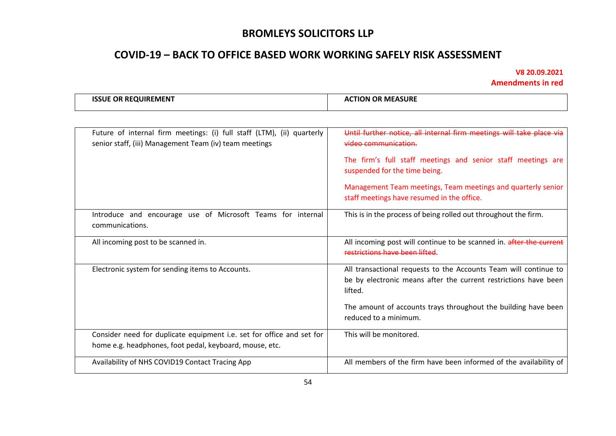# **COVID-19 – BACK TO OFFICE BASED WORK WORKING SAFELY RISK ASSESSMENT**

| . IV/I I<br>11 R<br>,,, | <b>URE</b><br>MF<br>эN |
|-------------------------|------------------------|
|-------------------------|------------------------|

| Future of internal firm meetings: (i) full staff (LTM), (ii) quarterly<br>senior staff, (iii) Management Team (iv) team meetings | Until further notice, all internal firm meetings will take place via<br>video communication.<br>The firm's full staff meetings and senior staff meetings are<br>suspended for the time being. |
|----------------------------------------------------------------------------------------------------------------------------------|-----------------------------------------------------------------------------------------------------------------------------------------------------------------------------------------------|
|                                                                                                                                  | Management Team meetings, Team meetings and quarterly senior<br>staff meetings have resumed in the office.                                                                                    |
| Introduce and encourage use of Microsoft Teams for internal<br>communications.                                                   | This is in the process of being rolled out throughout the firm.                                                                                                                               |
| All incoming post to be scanned in.                                                                                              | All incoming post will continue to be scanned in. after the current<br>restrictions have been lifted.                                                                                         |
| Electronic system for sending items to Accounts.                                                                                 | All transactional requests to the Accounts Team will continue to<br>be by electronic means after the current restrictions have been<br>lifted.                                                |
|                                                                                                                                  | The amount of accounts trays throughout the building have been<br>reduced to a minimum.                                                                                                       |
| Consider need for duplicate equipment i.e. set for office and set for<br>home e.g. headphones, foot pedal, keyboard, mouse, etc. | This will be monitored.                                                                                                                                                                       |
| Availability of NHS COVID19 Contact Tracing App                                                                                  | All members of the firm have been informed of the availability of                                                                                                                             |